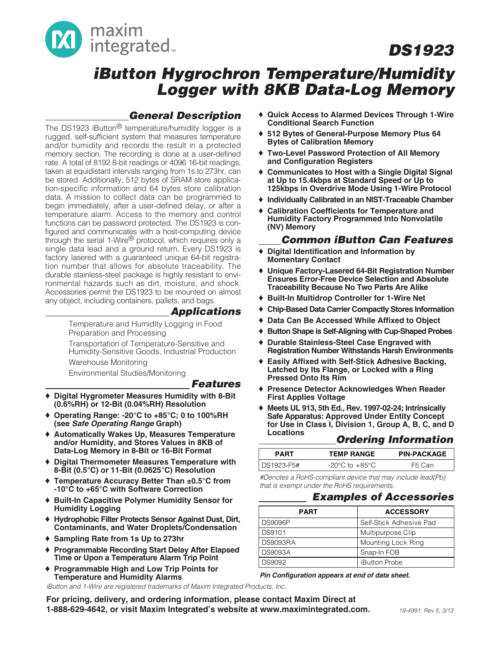

### **iButton Hygrochron Temperature/Humidity Logger with 8KB Data-Log Memory**

### **General Description**

The DS1923 iButton<sup>®</sup> temperature/humidity logger is a rugged, self-sufficient system that measures temperature and/or humidity and records the result in a protected memory section. The recording is done at a user-defined rate. A total of 8192 8-bit readings or 4096 16-bit readings, taken at equidistant intervals ranging from 1s to 273hr, can be stored. Additionally, 512 bytes of SRAM store application-specific information and 64 bytes store calibration data. A mission to collect data can be programmed to begin immediately, after a user-defined delay, or after a temperature alarm. Access to the memory and control functions can be password protected. The DS1923 is configured and communicates with a host-computing device through the serial 1-Wire® protocol, which requires only a single data lead and a ground return. Every DS1923 is factory lasered with a guaranteed unique 64-bit registration number that allows for absolute traceability. The durable stainless-steel package is highly resistant to environmental hazards such as dirt, moisture, and shock. Accessories permit the DS1923 to be mounted on almost any object, including containers, pallets, and bags.

### **Applications**

Temperature and Humidity Logging in Food Preparation and Processing

Transportation of Temperature-Sensitive and Humidity-Sensitive Goods, Industrial Production

Warehouse Monitoring

Environmental Studies/Monitoring

### **Features**

- **Digital Hygrometer Measures Humidity with 8-Bit (0.6%RH) or 12-Bit (0.04%RH) Resolution**
- ♦ **Operating Range: -20°C to +85°C; 0 to 100%RH (see Safe Operating Range Graph)**
- ♦ **Automatically Wakes Up, Measures Temperature and/or Humidity, and Stores Values in 8KB of Data-Log Memory in 8-Bit or 16-Bit Format**
- ♦ **Digital Thermometer Measures Temperature with 8-Bit (0.5°C) or 11-Bit (0.0625°C) Resolution**
- ♦ **Temperature Accuracy Better Than ±0.5°C from -10°C to +65°C with Software Correction**
- ♦ **Built-In Capacitive Polymer Humidity Sensor for Humidity Logging**
- ♦ **Hydrophobic Filter Protects Sensor Against Dust, Dirt, Contaminants, and Water Droplets/Condensation**
- ♦ **Sampling Rate from 1s Up to 273hr**
- ♦ **Programmable Recording Start Delay After Elapsed Time or Upon a Temperature Alarm Trip Point**
- ♦ **Programmable High and Low Trip Points for Temperature and Humidity Alarms**

iButton and 1-Wire are registered trademarks of Maxim Integrated Products, Inc.

- ♦ **Quick Access to Alarmed Devices Through 1-Wire Conditional Search Function**
- ♦ **512 Bytes of General-Purpose Memory Plus 64 Bytes of Calibration Memory**
- ♦ **Two-Level Password Protection of All Memory and Configuration Registers**
- ♦ **Communicates to Host with a Single Digital Signal at Up to 15.4kbps at Standard Speed or Up to 125kbps in Overdrive Mode Using 1-Wire Protocol**
- ♦ **Individually Calibrated in an NIST-Traceable Chamber**
- ♦ **Calibration Coefficients for Temperature and Humidity Factory Programmed Into Nonvolatile (NV) Memory**

### **Common iButton Can Features**

- **Digital Identification and Information by Momentary Contact**
- ♦ **Unique Factory-Lasered 64-Bit Registration Number Ensures Error-Free Device Selection and Absolute Traceability Because No Two Parts Are Alike**
- ♦ **Built-In Multidrop Controller for 1-Wire Net**
- ♦ **Chip-Based Data Carrier Compactly Stores Information**
- ♦ **Data Can Be Accessed While Affixed to Object**
- ♦ **Button Shape is Self-Aligning with Cup-Shaped Probes**
- ♦ **Durable Stainless-Steel Case Engraved with Registration Number Withstands Harsh Environments**
- ♦ **Easily Affixed with Self-Stick Adhesive Backing, Latched by Its Flange, or Locked with a Ring Pressed Onto Its Rim**
- ♦ **Presence Detector Acknowledges When Reader First Applies Voltage**
- ♦ **Meets UL 913, 5th Ed., Rev. 1997-02-24; Intrinsically Safe Apparatus: Approved Under Entity Concept for Use in Class I, Division 1, Group A, B, C, and D**

### **Locations Ordering Information**

| PART       | <b>TEMP RANGE</b> | <b>PIN-PACKAGE</b> |
|------------|-------------------|--------------------|
| DS1923-F5# | -20°C to +85°C.   | F5 Can             |

#Denotes a RoHS-compliant device that may include lead(Pb) that is exempt under the RoHS requirements.

### **Examples of Accessories**

| <b>PART</b>    | <b>ACCESSORY</b>        |
|----------------|-------------------------|
| <b>DS9096P</b> | Self-Stick Adhesive Pad |
| <b>DS9101</b>  | Multipurpose Clip       |
| DS9093RA       | Mounting Lock Ring      |
| <b>DS9093A</b> | Snap-In FOB             |
| DS9092         | <b>iButton Probe</b>    |

#### **Pin Configuration appears at end of data sheet.**

**For pricing, delivery, and ordering information, please contact Maxim Direct at 1-888-629-4642, or visit Maxim Integrated's website at www.maximintegrated.com.** 19-4991; Rev 5; 3/13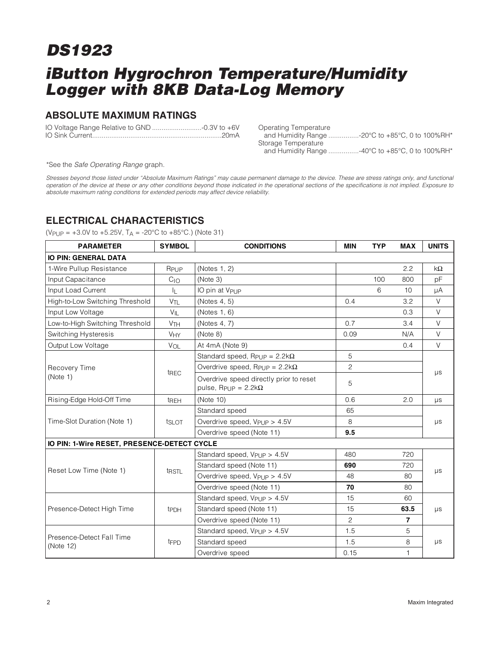## **iButton Hygrochron Temperature/Humidity Logger with 8KB Data-Log Memory**

### **ABSOLUTE MAXIMUM RATINGS**

IO Voltage Range Relative to GND ..........................-0.3V to +6V IO Sink Current....................................................................20mA Operating Temperature and Humidity Range ................-20°C to +85°C, 0 to 100%RH\* Storage Temperature and Humidity Range ................-40°C to +85°C, 0 to 100%RH\*

\*See the Safe Operating Range graph.

Stresses beyond those listed under "Absolute Maximum Ratings" may cause permanent damage to the device. These are stress ratings only, and functional operation of the device at these or any other conditions beyond those indicated in the operational sections of the specifications is not implied. Exposure to absolute maximum rating conditions for extended periods may affect device reliability.

### **ELECTRICAL CHARACTERISTICS**

(V<sub>PUP</sub> =  $+3.0V$  to  $+5.25V$ , T<sub>A</sub> =  $-20^{\circ}$ C to  $+85^{\circ}$ C.) (Note 31)

| <b>PARAMETER</b>                            | <b>SYMBOL</b>         | <b>CONDITIONS</b>                                                                     | <b>MIN</b>     | <b>TYP</b> | <b>MAX</b>     | <b>UNITS</b> |
|---------------------------------------------|-----------------------|---------------------------------------------------------------------------------------|----------------|------------|----------------|--------------|
| <b>IO PIN: GENERAL DATA</b>                 |                       |                                                                                       |                |            |                |              |
| 1-Wire Pullup Resistance                    | RPUP                  | (Notes 1, 2)                                                                          |                |            | 2.2            | $k\Omega$    |
| Input Capacitance                           | $C_{10}$              | (Note 3)                                                                              |                | 100        | 800            | рF           |
| Input Load Current                          | 止                     | IO pin at V <sub>PUP</sub>                                                            |                | 6          | 10             | μA           |
| High-to-Low Switching Threshold             | V <sub>TL</sub>       | (Notes 4, 5)                                                                          | 0.4            |            | 3.2            | V            |
| Input Low Voltage                           | $V_{\parallel}$       | (Notes 1, 6)                                                                          |                |            | 0.3            | $\vee$       |
| Low-to-High Switching Threshold             | <b>V<sub>TH</sub></b> | (Notes 4, 7)                                                                          | 0.7            |            | 3.4            | V            |
| Switching Hysteresis                        | <b>VHY</b>            | (Note 8)                                                                              | 0.09           |            | N/A            | V            |
| Output Low Voltage                          | VOL                   | At 4mA (Note 9)                                                                       |                |            | 0.4            | V            |
|                                             |                       | Standard speed, $R_{PUP} = 2.2k\Omega$                                                | 5              |            |                |              |
| Recovery Time                               | t <sub>REC</sub>      | Overdrive speed, $R_{PUP} = 2.2k\Omega$                                               | $\overline{c}$ |            |                | $\mu s$      |
| (Note 1)                                    |                       | Overdrive speed directly prior to reset<br>pulse, R <sub>PUP</sub> = $2.2$ k $\Omega$ | 5              |            |                |              |
| Rising-Edge Hold-Off Time                   | t <sub>REH</sub>      | (Note 10)                                                                             | 0.6            |            | 2.0            | $\mu s$      |
|                                             |                       | Standard speed                                                                        | 65             |            |                |              |
| Time-Slot Duration (Note 1)                 | tslot                 | Overdrive speed, V <sub>PUP</sub> > 4.5V                                              | 8              |            |                | $\mu s$      |
|                                             |                       | Overdrive speed (Note 11)                                                             | 9.5            |            |                |              |
| IO PIN: 1-Wire RESET, PRESENCE-DETECT CYCLE |                       |                                                                                       |                |            |                |              |
|                                             |                       | Standard speed, V <sub>PUP</sub> > 4.5V                                               | 480            |            | 720            |              |
| Reset Low Time (Note 1)                     |                       | Standard speed (Note 11)                                                              | 690            |            | 720            |              |
|                                             | t <sub>RSTL</sub>     | Overdrive speed, $V_{\text{Pl}}$ JP > 4.5V                                            | 48             |            | 80             | μs           |
|                                             |                       | Overdrive speed (Note 11)                                                             | 70             |            | 80             |              |
|                                             |                       | Standard speed, V <sub>PUP</sub> > 4.5V                                               | 15             |            | 60             |              |
| Presence-Detect High Time                   | t <sub>PDH</sub>      | Standard speed (Note 11)                                                              | 15             |            | 63.5           | $\mu s$      |
|                                             |                       | Overdrive speed (Note 11)                                                             | 2              |            | $\overline{7}$ |              |
|                                             |                       | Standard speed, Vpup > 4.5V                                                           | 1.5<br>5       |            |                |              |
| Presence-Detect Fall Time<br>(Note 12)      | t <sub>FPD</sub>      | Standard speed                                                                        | 1.5            |            | 8              | $\mu s$      |
|                                             |                       | Overdrive speed                                                                       | 0.15           |            | 1              |              |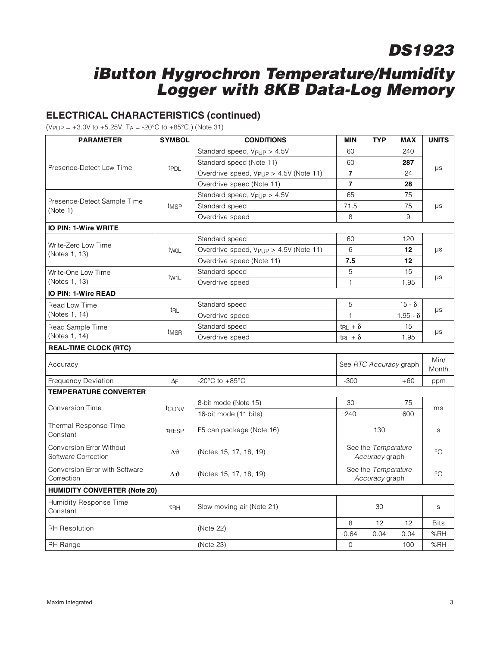## **iButton Hygrochron Temperature/Humidity Logger with 8KB Data-Log Memory**

### **ELECTRICAL CHARACTERISTICS (continued)**

(V<sub>PUP</sub> =  $+3.0V$  to  $+5.25V$ , T<sub>A</sub> =  $-20^{\circ}$ C to  $+85^{\circ}$ C.) (Note 31)

| <b>PARAMETER</b>                                       | <b>SYMBOL</b>      | <b>CONDITIONS</b>                                  | <b>MIN</b>               | <b>TYP</b>                            | <b>MAX</b>      | <b>UNITS</b>  |  |  |  |  |
|--------------------------------------------------------|--------------------|----------------------------------------------------|--------------------------|---------------------------------------|-----------------|---------------|--|--|--|--|
|                                                        |                    | Standard speed, $V_{\text{PIIP}} > 4.5V$           | 60                       |                                       | 240             |               |  |  |  |  |
|                                                        |                    | Standard speed (Note 11)                           | 60                       |                                       | 287             |               |  |  |  |  |
| Presence-Detect Low Time                               | t <sub>PDL</sub>   | Overdrive speed, V <sub>PUP</sub> > 4.5V (Note 11) | $\overline{7}$           |                                       | 24              | $\mu s$       |  |  |  |  |
|                                                        |                    | Overdrive speed (Note 11)                          | $\overline{7}$           |                                       | 28              |               |  |  |  |  |
|                                                        |                    | Standard speed, $V_{\text{PU}}P > 4.5V$            | 65                       |                                       | 75              |               |  |  |  |  |
| Presence-Detect Sample Time<br>(Note 1)                | t <sub>MSP</sub>   | Standard speed                                     | 71.5                     |                                       | 75              | μs            |  |  |  |  |
|                                                        |                    | Overdrive speed                                    | 8                        |                                       | 9               |               |  |  |  |  |
| <b>IO PIN: 1-Wire WRITE</b>                            |                    |                                                    |                          |                                       |                 |               |  |  |  |  |
|                                                        |                    | Standard speed                                     | 60                       |                                       | 120             |               |  |  |  |  |
| Write-Zero Low Time<br>(Notes 1, 13)                   | twol               | Overdrive speed, V <sub>PUP</sub> > 4.5V (Note 11) | 6                        | 12<br>$\mu s$                         |                 |               |  |  |  |  |
|                                                        |                    | Overdrive speed (Note 11)                          | 7.5                      |                                       | 12              |               |  |  |  |  |
| Write-One Low Time                                     |                    | Standard speed                                     | 5                        |                                       | 15              | $\mu s$       |  |  |  |  |
| (Notes 1, 13)                                          | tw <sub>1</sub> L  | Overdrive speed                                    | $\mathbf{1}$             | 1.95                                  |                 |               |  |  |  |  |
| <b>IO PIN: 1-Wire READ</b>                             |                    |                                                    |                          |                                       |                 |               |  |  |  |  |
| Read Low Time                                          |                    | Standard speed                                     | 5                        |                                       | $15 - \delta$   |               |  |  |  |  |
| (Notes 1, 14)                                          | trl                | Overdrive speed                                    | $\mathbf{1}$             |                                       | $1.95 - \delta$ | $\mu s$       |  |  |  |  |
| Read Sample Time                                       |                    | Standard speed                                     | $t_{RL} + \delta$        |                                       | 15              |               |  |  |  |  |
| (Notes 1, 14)                                          | t <sub>MSR</sub>   | Overdrive speed                                    | $t_{\text{RL}} + \delta$ |                                       | 1.95            | $\mu s$       |  |  |  |  |
| <b>REAL-TIME CLOCK (RTC)</b>                           |                    |                                                    |                          |                                       |                 |               |  |  |  |  |
| Accuracy                                               |                    |                                                    | See RTC Accuracy graph   |                                       |                 | Min/<br>Month |  |  |  |  |
| <b>Frequency Deviation</b>                             | $\Delta F$         | -20 $^{\circ}$ C to +85 $^{\circ}$ C               | $-300$                   |                                       | $+60$           | ppm           |  |  |  |  |
| <b>TEMPERATURE CONVERTER</b>                           |                    |                                                    |                          |                                       |                 |               |  |  |  |  |
|                                                        |                    | 8-bit mode (Note 15)                               | 30                       |                                       | 75              |               |  |  |  |  |
| <b>Conversion Time</b>                                 | tconv              | 16-bit mode (11 bits)                              | 240                      |                                       | 600             | ms            |  |  |  |  |
| Thermal Response Time<br>Constant                      | TRESP              | F5 can package (Note 16)                           |                          | 130                                   |                 | S.            |  |  |  |  |
| <b>Conversion Error Without</b><br>Software Correction | $\Delta \vartheta$ | (Notes 15, 17, 18, 19)                             |                          | See the Temperature<br>Accuracy graph |                 | $^{\circ}$ C  |  |  |  |  |
| Conversion Error with Software<br>Correction           | $\Delta \vartheta$ | (Notes 15, 17, 18, 19)                             |                          | See the Temperature<br>Accuracy graph |                 |               |  |  |  |  |
| <b>HUMIDITY CONVERTER (Note 20)</b>                    |                    |                                                    |                          |                                       |                 |               |  |  |  |  |
| Humidity Response Time<br>Constant                     | $\tau_{\text{RH}}$ | Slow moving air (Note 21)                          |                          | 30                                    |                 | S.            |  |  |  |  |
| <b>RH</b> Resolution                                   |                    | (Note 22)                                          | 8                        | 12                                    | 12              | <b>Bits</b>   |  |  |  |  |
|                                                        |                    |                                                    | 0.64                     | 0.04                                  | 0.04            | %RH           |  |  |  |  |
| RH Range                                               |                    | (Note 23)                                          | $\mathbf{O}$             |                                       | 100             | %RH           |  |  |  |  |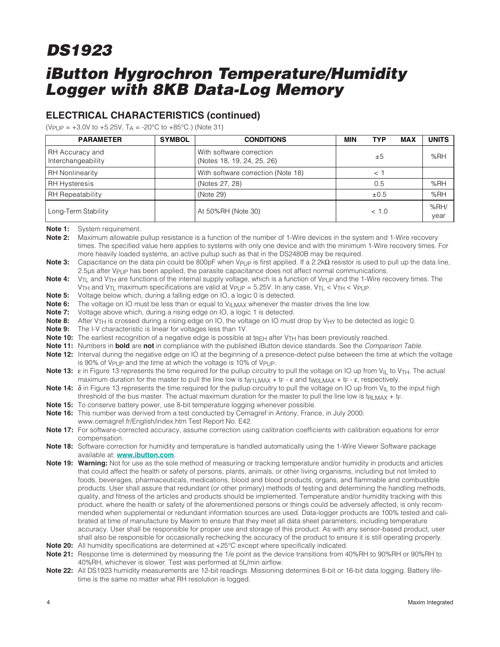## **iButton Hygrochron Temperature/Humidity Logger with 8KB Data-Log Memory**

### **ELECTRICAL CHARACTERISTICS (continued)**

(V<sub>PUP</sub> =  $+3.0V$  to  $+5.25V$ , T<sub>A</sub> =  $-20^{\circ}$ C to  $+85^{\circ}$ C.) (Note 31)

| <b>PARAMETER</b>                      | <b>SYMBOL</b> | <b>CONDITIONS</b>                                      | <b>MIN</b> | <b>TYP</b> | <b>MAX</b> | <b>UNITS</b> |
|---------------------------------------|---------------|--------------------------------------------------------|------------|------------|------------|--------------|
| RH Accuracy and<br>Interchangeability |               | With software correction<br>(Notes 18, 19, 24, 25, 26) |            | ±5         |            | %RH          |
| <b>RH Nonlinearity</b>                |               | With software correction (Note 18)                     |            |            |            |              |
| <b>RH Hysteresis</b>                  |               | (Notes 27, 28)                                         |            | 0.5        |            | %RH          |
| RH Repeatability                      |               | (Note 29)                                              |            | $\pm 0.5$  |            | %RH          |
| Long-Term Stability                   |               | At 50%RH (Note 30)                                     |            | < 1.0      |            | %RH/<br>year |

**Note 1:** System requirement.

**Note 2:** Maximum allowable pullup resistance is a function of the number of 1-Wire devices in the system and 1-Wire recovery times. The specified value here applies to systems with only one device and with the minimum 1-Wire recovery times. For more heavily loaded systems, an active pullup such as that in the DS2480B may be required.

**Note 3:** Capacitance on the data pin could be 800pF when V<sub>PUP</sub> is first applied. If a 2.2kΩ resistor is used to pull up the data line, 2.5μs after V<sub>PUP</sub> has been applied, the parasite capacitance does not affect normal communications.

Note 4: V<sub>TL</sub> and V<sub>TH</sub> are functions of the internal supply voltage, which is a function of V<sub>PUP</sub> and the 1-Wire recovery times. The VTH and VTL maximum specifications are valid at VPUP = 5.25V. In any case, VTL < VTH < VPUP.

**Note 5:** Voltage below which, during a falling edge on IO, a logic 0 is detected.

**Note 6:** The voltage on IO must be less than or equal to V<sub>ILMAX</sub> whenever the master drives the line low.

**Note 7:** Voltage above which, during a rising edge on IO, a logic 1 is detected.

- **Note 8:** After V<sub>TH</sub> is crossed during a rising edge on IO, the voltage on IO must drop by V<sub>HY</sub> to be detected as logic 0.
- **Note 9:** The I-V characteristic is linear for voltages less than 1V.
- Note 10: The earliest recognition of a negative edge is possible at t<sub>REH</sub> after V<sub>TH</sub> has been previously reached.
- **Note 11:** Numbers in **bold** are **not** in compliance with the published iButton device standards. See the Comparison Table.
- **Note 12:** Interval during the negative edge on IO at the beginning of a presence-detect pulse between the time at which the voltage is 90% of V<sub>PUP</sub> and the time at which the voltage is 10% of V<sub>PUP</sub>.
- **Note 13:** ε in Figure 13 represents the time required for the pullup circuitry to pull the voltage on IO up from V<sub>IL</sub> to V<sub>TH</sub>. The actual maximum duration for the master to pull the line low is tw<sub>1LMAX</sub> + t<sub>F</sub> -  $\varepsilon$  and tw<sub>0LMAX</sub> + t<sub>F</sub> -  $\varepsilon$ , respectively.
- **Note 14:** δ in Figure 13 represents the time required for the pullup circuitry to pull the voltage on IO up from V<sub>II</sub> to the input high threshold of the bus master. The actual maximum duration for the master to pull the line low is t<sub>RLMAX</sub> + t<sub>F</sub>.
- **Note 15:** To conserve battery power, use 8-bit temperature logging whenever possible.
- **Note 16:** This number was derived from a test conducted by Cemagref in Antony, France, in July 2000: www.cemagref.fr/English/index.htm Test Report No. E42.
- **Note 17:** For software-corrected accuracy, assume correction using calibration coefficients with calibration equations for error compensation.
- **Note 18:** Software correction for humidity and temperature is handled automatically using the 1-Wire Viewer Software package available at: **www.ibutton.com**.
- **Note 19: Warning:** Not for use as the sole method of measuring or tracking temperature and/or humidity in products and articles that could affect the health or safety of persons, plants, animals, or other living organisms, including but not limited to foods, beverages, pharmaceuticals, medications, blood and blood products, organs, and flammable and combustible products. User shall assure that redundant (or other primary) methods of testing and determining the handling methods, quality, and fitness of the articles and products should be implemented. Temperature and/or humidity tracking with this product, where the health or safety of the aforementioned persons or things could be adversely affected, is only recommended when supplemental or redundant information sources are used. Data-logger products are 100% tested and calibrated at time of manufacture by Maxim to ensure that they meet all data sheet parameters, including temperature accuracy. User shall be responsible for proper use and storage of this product. As with any sensor-based product, user shall also be responsible for occasionally rechecking the accuracy of the product to ensure it is still operating properly.
- **Note 20:** All humidity specifications are determined at +25°C except where specifically indicated.
- **Note 21:** Response time is determined by measuring the 1/e point as the device transitions from 40%RH to 90%RH or 90%RH to 40%RH, whichever is slower. Test was performed at 5L/min airflow.
- **Note 22:** All DS1923 humidity measurements are 12-bit readings. Missioning determines 8-bit or 16-bit data logging. Battery lifetime is the same no matter what RH resolution is logged.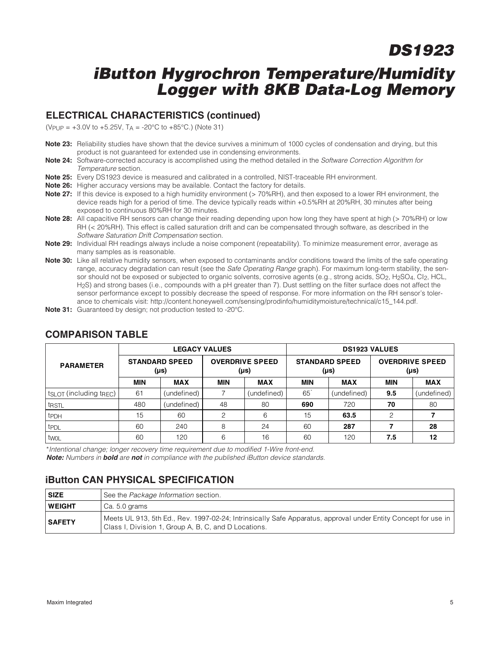### **iButton Hygrochron Temperature/Humidity Logger with 8KB Data-Log Memory**

### **ELECTRICAL CHARACTERISTICS (continued)**

(V<sub>PUP</sub> =  $+3.0V$  to  $+5.25V$ , T<sub>A</sub> =  $-20^{\circ}$ C to  $+85^{\circ}$ C.) (Note 31)

- **Note 23:** Reliability studies have shown that the device survives a minimum of 1000 cycles of condensation and drying, but this product is not guaranteed for extended use in condensing environments.
- **Note 24:** Software-corrected accuracy is accomplished using the method detailed in the Software Correction Algorithm for Temperature section.
- **Note 25:** Every DS1923 device is measured and calibrated in a controlled, NIST-traceable RH environment.
- **Note 26:** Higher accuracy versions may be available. Contact the factory for details.
- **Note 27:** If this device is exposed to a high humidity environment (> 70%RH), and then exposed to a lower RH environment, the device reads high for a period of time. The device typically reads within +0.5%RH at 20%RH, 30 minutes after being exposed to continuous 80%RH for 30 minutes.
- **Note 28:** All capacitive RH sensors can change their reading depending upon how long they have spent at high (> 70%RH) or low RH (< 20%RH). This effect is called saturation drift and can be compensated through software, as described in the Software Saturation Drift Compensation section.
- **Note 29:** Individual RH readings always include a noise component (repeatability). To minimize measurement error, average as many samples as is reasonable.
- **Note 30:** Like all relative humidity sensors, when exposed to contaminants and/or conditions toward the limits of the safe operating range, accuracy degradation can result (see the Safe Operating Range graph). For maximum long-term stability, the sensor should not be exposed or subjected to organic solvents, corrosive agents (e.g., strong acids, SO<sub>2</sub>, H<sub>2</sub>SO<sub>4</sub>, CI<sub>2</sub>, HCL, H<sub>2</sub>S) and strong bases (i.e., compounds with a pH greater than 7). Dust settling on the filter surface does not affect the sensor performance except to possibly decrease the speed of response. For more information on the RH sensor's tolerance to chemicals visit: http://content.honeywell.com/sensing/prodinfo/humiditymoisture/technical/c15\_144.pdf.
- **Note 31:** Guaranteed by design; not production tested to -20°C.

| <b>PARAMETER</b>            |            | <b>LEGACY VALUES</b>               |            |                                | <b>DS1923 VALUES</b> |                                    |                                |             |  |  |
|-----------------------------|------------|------------------------------------|------------|--------------------------------|----------------------|------------------------------------|--------------------------------|-------------|--|--|
|                             |            | <b>STANDARD SPEED</b><br>$(\mu s)$ |            | <b>OVERDRIVE SPEED</b><br>(µs) |                      | <b>STANDARD SPEED</b><br>$(\mu s)$ | <b>OVERDRIVE SPEED</b><br>(µs) |             |  |  |
|                             | <b>MIN</b> | <b>MAX</b>                         | <b>MIN</b> | <b>MAX</b>                     | <b>MIN</b>           | <b>MAX</b>                         | <b>MIN</b>                     | <b>MAX</b>  |  |  |
| $tsLOT$ (including $t$ REC) | 61         | (undefined)                        | 7          | (undefined)                    | 65                   | (undefined)                        | 9.5                            | (undefined) |  |  |
| t <sub>RSTL</sub>           | 480        | (undefined)                        | 48         | 80                             | 690                  | 720                                | 70                             | 80          |  |  |
| tpdh                        | 15         | 60                                 | 2          | 6                              | 15                   | 63.5                               | 2                              |             |  |  |
| t <sub>PDL</sub>            | 60         | 240                                | 8          | 24                             | 60                   | 287                                |                                | 28          |  |  |
| twol                        | 60         | 120                                | 6          | 16                             | 60                   | 120                                | 7.5                            | 12          |  |  |

#### **COMPARISON TABLE**

\*Intentional change; longer recovery time requirement due to modified 1-Wire front-end. **Note:** Numbers in **bold** are **not** in compliance with the published iButton device standards.

### **iButton CAN PHYSICAL SPECIFICATION**

| SIZE          | See the Package Information section.                                                                                                                                   |
|---------------|------------------------------------------------------------------------------------------------------------------------------------------------------------------------|
| WEIGHT        | l Ca. 5.0 grams                                                                                                                                                        |
| <b>SAFETY</b> | Meets UL 913, 5th Ed., Rev. 1997-02-24; Intrinsically Safe Apparatus, approval under Entity Concept for use in<br>Class I, Division 1, Group A, B, C, and D Locations. |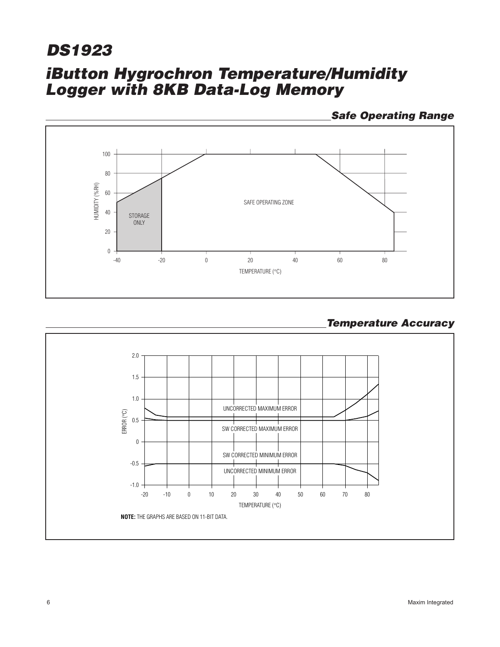## **iButton Hygrochron Temperature/Humidity Logger with 8KB Data-Log Memory DS1923**

**Safe Operating Range**



### **Temperature Accuracy**

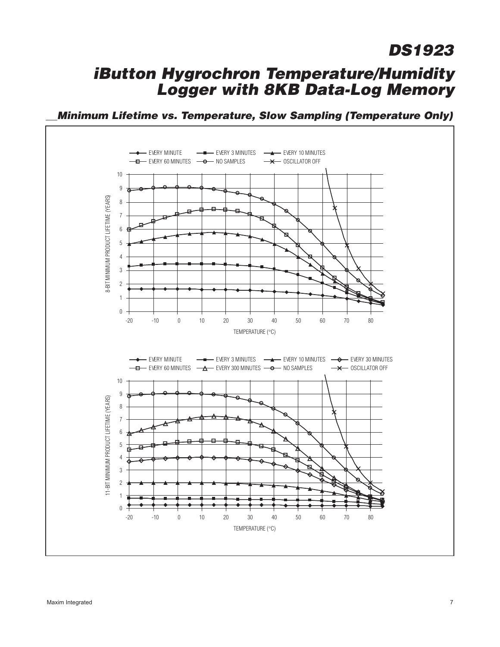### **iButton Hygrochron Temperature/Humidity Logger with 8KB Data-Log Memory**

**Minimum Lifetime vs. Temperature, Slow Sampling (Temperature Only)**

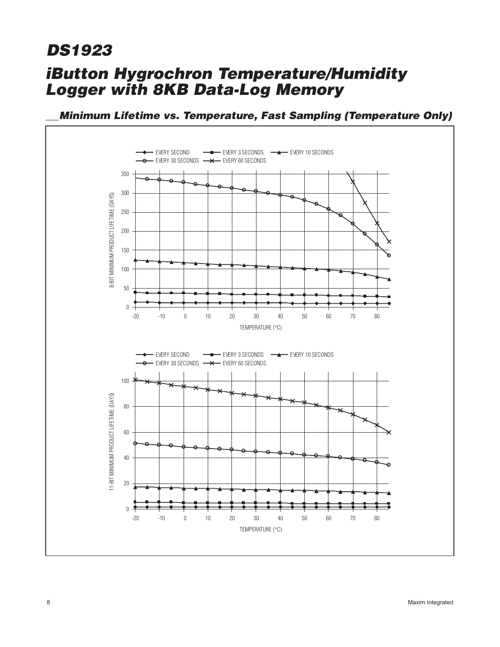### **iButton Hygrochron Temperature/Humidity Logger with 8KB Data-Log Memory**



**Minimum Lifetime vs. Temperature, Fast Sampling (Temperature Only)**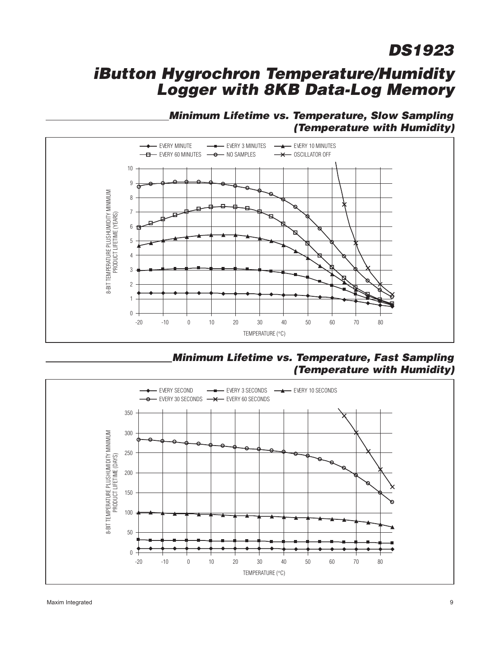### **iButton Hygrochron Temperature/Humidity Logger with 8KB Data-Log Memory**

### **Minimum Lifetime vs. Temperature, Slow Sampling (Temperature with Humidity)**



**Minimum Lifetime vs. Temperature, Fast Sampling (Temperature with Humidity)**

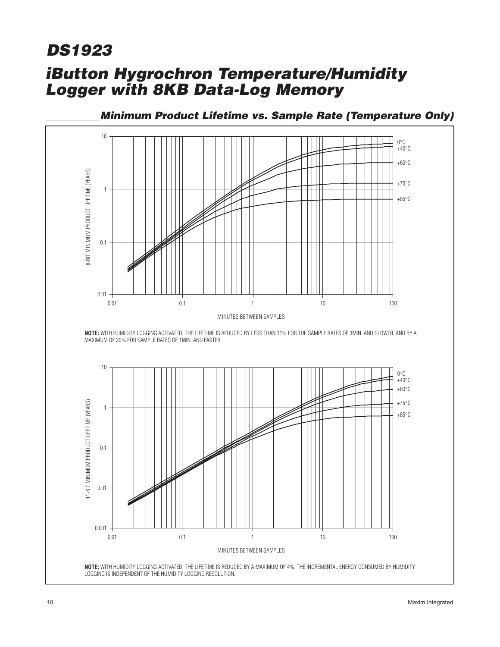## **iButton Hygrochron Temperature/Humidity Logger with 8KB Data-Log Memory DS1923**



**Minimum Product Lifetime vs. Sample Rate (Temperature Only)**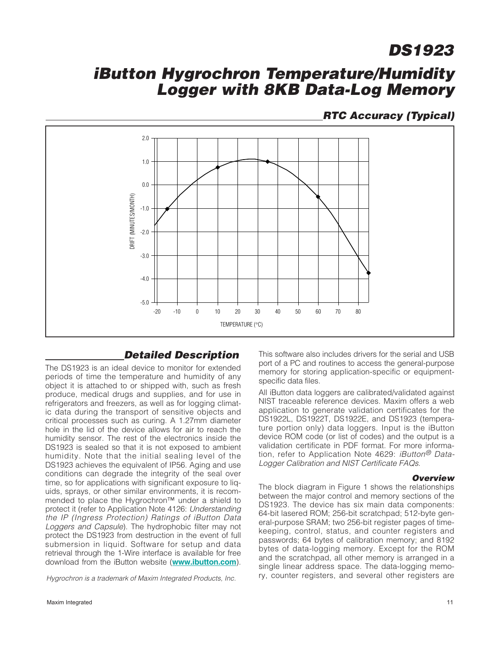### **iButton Hygrochron Temperature/Humidity Logger with 8KB Data-Log Memory**

### **RTC Accuracy (Typical)**



### **Detailed Description**

The DS1923 is an ideal device to monitor for extended periods of time the temperature and humidity of any object it is attached to or shipped with, such as fresh produce, medical drugs and supplies, and for use in refrigerators and freezers, as well as for logging climatic data during the transport of sensitive objects and critical processes such as curing. A 1.27mm diameter hole in the lid of the device allows for air to reach the humidity sensor. The rest of the electronics inside the DS1923 is sealed so that it is not exposed to ambient humidity. Note that the initial sealing level of the DS1923 achieves the equivalent of IP56. Aging and use conditions can degrade the integrity of the seal over time, so for applications with significant exposure to liquids, sprays, or other similar environments, it is recommended to place the Hygrochron™ under a shield to protect it (refer to Application Note 4126: Understanding the IP (Ingress Protection) Ratings of iButton Data Loggers and Capsule). The hydrophobic filter may not protect the DS1923 from destruction in the event of full submersion in liquid. Software for setup and data retrieval through the 1-Wire interface is available for free download from the iButton website (**www.ibutton.com**).

This software also includes drivers for the serial and USB port of a PC and routines to access the general-purpose memory for storing application-specific or equipmentspecific data files.

All iButton data loggers are calibrated/validated against NIST traceable reference devices. Maxim offers a web application to generate validation certificates for the DS1922L, DS1922T, DS1922E, and DS1923 (temperature portion only) data loggers. Input is the iButton device ROM code (or list of codes) and the output is a validation certificate in PDF format. For more information, refer to Application Note 4629: *iButton<sup>®</sup> Data-*Logger Calibration and NIST Certificate FAQs.

#### **Overview**

The block diagram in Figure 1 shows the relationships between the major control and memory sections of the DS1923. The device has six main data components: 64-bit lasered ROM; 256-bit scratchpad; 512-byte general-purpose SRAM; two 256-bit register pages of timekeeping, control, status, and counter registers and passwords; 64 bytes of calibration memory; and 8192 bytes of data-logging memory. Except for the ROM and the scratchpad, all other memory is arranged in a single linear address space. The data-logging memo-Hygrochron is a trademark of Maxim Integrated Products, Inc. Fy, counter registers, and several other registers are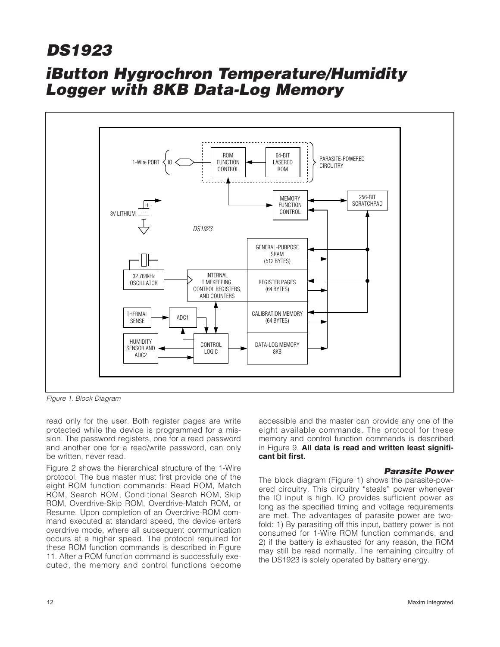## **iButton Hygrochron Temperature/Humidity Logger with 8KB Data-Log Memory**



Figure 1. Block Diagram

read only for the user. Both register pages are write protected while the device is programmed for a mission. The password registers, one for a read password and another one for a read/write password, can only be written, never read.

Figure 2 shows the hierarchical structure of the 1-Wire protocol. The bus master must first provide one of the eight ROM function commands: Read ROM, Match ROM, Search ROM, Conditional Search ROM, Skip ROM, Overdrive-Skip ROM, Overdrive-Match ROM, or Resume. Upon completion of an Overdrive-ROM command executed at standard speed, the device enters overdrive mode, where all subsequent communication occurs at a higher speed. The protocol required for these ROM function commands is described in Figure 11. After a ROM function command is successfully executed, the memory and control functions become

accessible and the master can provide any one of the eight available commands. The protocol for these memory and control function commands is described in Figure 9. **All data is read and written least significant bit first.**

#### **Parasite Power**

The block diagram (Figure 1) shows the parasite-powered circuitry. This circuitry "steals" power whenever the IO input is high. IO provides sufficient power as long as the specified timing and voltage requirements are met. The advantages of parasite power are twofold: 1) By parasiting off this input, battery power is not consumed for 1-Wire ROM function commands, and 2) if the battery is exhausted for any reason, the ROM may still be read normally. The remaining circuitry of the DS1923 is solely operated by battery energy.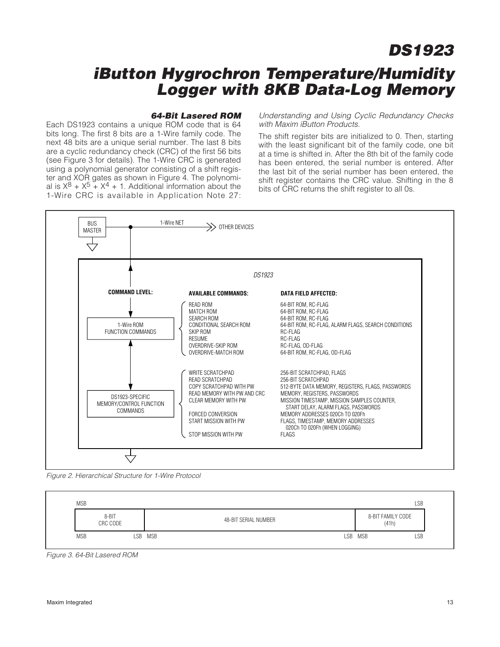### **iButton Hygrochron Temperature/Humidity Logger with 8KB Data-Log Memory**

#### **64-Bit Lasered ROM**

Each DS1923 contains a unique ROM code that is 64 bits long. The first 8 bits are a 1-Wire family code. The next 48 bits are a unique serial number. The last 8 bits are a cyclic redundancy check (CRC) of the first 56 bits (see Figure 3 for details). The 1-Wire CRC is generated using a polynomial generator consisting of a shift register and XOR gates as shown in Figure 4. The polynomial is  $X^8 + X^5 + X^4 + 1$ . Additional information about the 1-Wire CRC is available in Application Note 27:

Understanding and Using Cyclic Redundancy Checks with Maxim iButton Products.

The shift register bits are initialized to 0. Then, starting with the least significant bit of the family code, one bit at a time is shifted in. After the 8th bit of the family code has been entered, the serial number is entered. After the last bit of the serial number has been entered, the shift register contains the CRC value. Shifting in the 8 bits of CRC returns the shift register to all 0s.



Figure 2. Hierarchical Structure for 1-Wire Protocol



Figure 3. 64-Bit Lasered ROM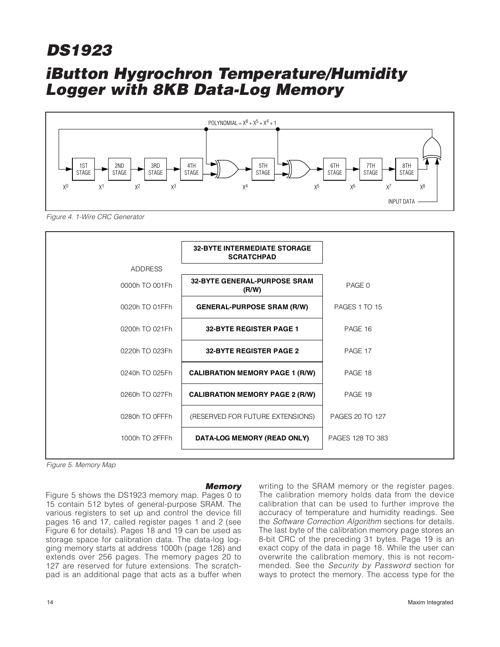## **iButton Hygrochron Temperature/Humidity Logger with 8KB Data-Log Memory**



Figure 4. 1-Wire CRC Generator



Figure 5. Memory Map

#### **Memory**

Figure 5 shows the DS1923 memory map. Pages 0 to 15 contain 512 bytes of general-purpose SRAM. The various registers to set up and control the device fill pages 16 and 17, called register pages 1 and 2 (see Figure 6 for details). Pages 18 and 19 can be used as storage space for calibration data. The data-log logging memory starts at address 1000h (page 128) and extends over 256 pages. The memory pages 20 to 127 are reserved for future extensions. The scratchpad is an additional page that acts as a buffer when

writing to the SRAM memory or the register pages. The calibration memory holds data from the device calibration that can be used to further improve the accuracy of temperature and humidity readings. See the Software Correction Algorithm sections for details. The last byte of the calibration memory page stores an 8-bit CRC of the preceding 31 bytes. Page 19 is an exact copy of the data in page 18. While the user can overwrite the calibration memory, this is not recommended. See the Security by Password section for ways to protect the memory. The access type for the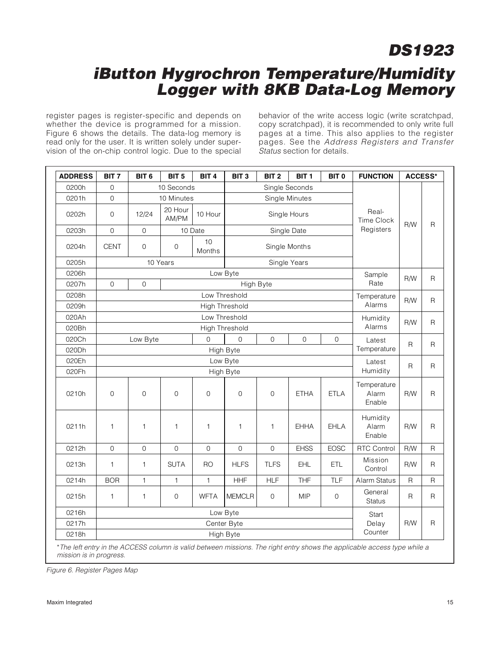### **iButton Hygrochron Temperature/Humidity Logger with 8KB Data-Log Memory**

register pages is register-specific and depends on whether the device is programmed for a mission. Figure 6 shows the details. The data-log memory is read only for the user. It is written solely under supervision of the on-chip control logic. Due to the special behavior of the write access logic (write scratchpad, copy scratchpad), it is recommended to only write full pages at a time. This also applies to the register pages. See the Address Registers and Transfer Status section for details.

| <b>ADDRESS</b> | BIT <sub>7</sub> | BIT <sub>6</sub>      | BIT <sub>5</sub> | BIT <sub>4</sub> | BIT <sub>3</sub> | BIT <sub>2</sub>    | BIT <sub>1</sub> | BIT <sub>0</sub>    | <b>FUNCTION</b>                | <b>ACCESS*</b> |              |
|----------------|------------------|-----------------------|------------------|------------------|------------------|---------------------|------------------|---------------------|--------------------------------|----------------|--------------|
| 0200h          | $\overline{0}$   |                       | 10 Seconds       |                  |                  |                     | Single Seconds   |                     |                                |                |              |
| 0201h          | $\overline{0}$   |                       | 10 Minutes       |                  |                  |                     | Single Minutes   |                     |                                |                |              |
| 0202h          | $\mathbf 0$      | 12/24                 | 20 Hour<br>AM/PM | 10 Hour          |                  |                     | Single Hours     |                     | Real-<br><b>Time Clock</b>     | R/W            |              |
| 0203h          | $\overline{0}$   | $\overline{0}$        |                  | 10 Date          |                  |                     | Single Date      |                     | Registers                      |                | $\mathsf{R}$ |
| 0204h          | <b>CENT</b>      | $\mathbf{O}$          | $\overline{0}$   | 10<br>Months     |                  |                     | Single Months    |                     |                                |                |              |
| 0205h          |                  |                       | 10 Years         |                  |                  |                     | Single Years     |                     |                                |                |              |
| 0206h          |                  |                       |                  |                  | Low Byte         |                     |                  |                     | Sample                         | <b>R/W</b>     | R            |
| 0207h          | $\mathbf 0$      | $\overline{0}$        |                  |                  | Rate             |                     |                  |                     |                                |                |              |
| 0208h          |                  |                       |                  |                  | Low Threshold    |                     |                  |                     | Temperature                    | R/W            | R            |
| 0209h          |                  |                       |                  | Alarms           |                  |                     |                  |                     |                                |                |              |
| 020Ah          |                  |                       |                  |                  | Low Threshold    |                     |                  |                     | Humidity                       | R/W            |              |
| 020Bh          |                  | <b>High Threshold</b> |                  |                  |                  |                     |                  |                     | Alarms                         |                | R            |
| 020Ch          |                  | Low Byte              |                  | $\Omega$         | $\Omega$         | $\mathsf{O}\xspace$ | $\mathbf 0$      | $\mathsf{O}\xspace$ | Latest                         | $\mathsf{R}$   | R            |
| 020Dh          |                  |                       |                  |                  | High Byte        |                     |                  |                     | Temperature                    |                |              |
| 020Eh          |                  |                       |                  | Latest           | R                | R                   |                  |                     |                                |                |              |
| 020Fh          |                  |                       |                  |                  | High Byte        |                     |                  |                     | Humidity                       |                |              |
| 0210h          | $\overline{0}$   | $\overline{0}$        | $\overline{O}$   | $\overline{0}$   | $\overline{0}$   | $\overline{0}$      | <b>ETHA</b>      | <b>ETLA</b>         | Temperature<br>Alarm<br>Enable | R/W            | $\mathsf{R}$ |
| 0211h          | $\mathbf{1}$     | $\mathbf{1}$          | $\mathbf{1}$     | $\mathbf{1}$     | $\mathbf{1}$     | $\mathbf{1}$        | <b>EHHA</b>      | EHLA                | Humidity<br>Alarm<br>Enable    | R/W            | R            |
| 0212h          | $\Omega$         | $\Omega$              | $\Omega$         | $\Omega$         | $\overline{0}$   | $\Omega$            | <b>EHSS</b>      | <b>EOSC</b>         | <b>RTC Control</b>             | R/W            | R            |
| 0213h          | $\mathbf{1}$     | $\mathbf{1}$          | <b>SUTA</b>      | RO               | <b>HLFS</b>      | <b>TLFS</b>         | <b>EHL</b>       | <b>ETL</b>          | Mission<br>Control             | R/W            | R            |
| 0214h          | <b>BOR</b>       | $\mathbf{1}$          | $\mathbf{1}$     | $\mathbf{1}$     | <b>HHF</b>       | <b>HLF</b>          | <b>THF</b>       | <b>TLF</b>          | Alarm Status                   | R              | R            |
| 0215h          | $\mathbf{1}$     | $\mathbf{1}$          | $\overline{0}$   | <b>WFTA</b>      | <b>MEMCLR</b>    | $\mathbf{O}$        | <b>MIP</b>       | $\mathbf{O}$        | General<br><b>Status</b>       | R              | R            |
| 0216h          |                  |                       | Start            |                  |                  |                     |                  |                     |                                |                |              |
| 0217h          |                  |                       | Delay            | R/W              | $\mathsf{R}$     |                     |                  |                     |                                |                |              |
| 0218h          |                  |                       |                  | Counter          |                  |                     |                  |                     |                                |                |              |

mission is in progress.

Figure 6. Register Pages Map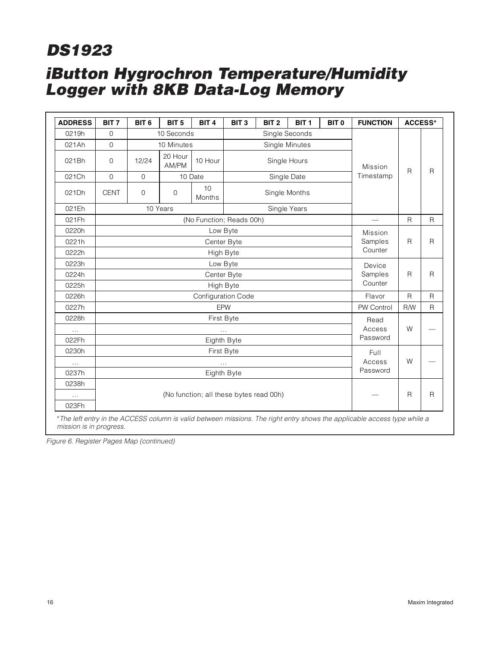# **iButton Hygrochron Temperature/Humidity DS1923**

**Logger with 8KB Data-Log Memory**

| <b>ADDRESS</b> | BIT <sub>7</sub> | BIT <sub>6</sub>         | BIT <sub>5</sub> | BIT <sub>4</sub>    | BIT <sub>3</sub>   | BIT <sub>2</sub>                        | BIT <sub>1</sub> | BIT <sub>0</sub> | <b>FUNCTION</b> | <b>ACCESS*</b> |              |
|----------------|------------------|--------------------------|------------------|---------------------|--------------------|-----------------------------------------|------------------|------------------|-----------------|----------------|--------------|
| 0219h          | $\overline{0}$   |                          | 10 Seconds       |                     |                    | Single Seconds                          |                  |                  |                 |                |              |
| 021Ah          | $\Omega$         |                          | 10 Minutes       |                     |                    | Single Minutes                          |                  |                  |                 |                |              |
| 021Bh          | $\overline{0}$   | 12/24                    | 20 Hour<br>AM/PM | 10 Hour             |                    | Single Hours                            |                  |                  | Mission         |                | $\mathsf{R}$ |
| 021Ch          | $\overline{0}$   | $\mathbf 0$              |                  | 10 Date             |                    | Single Date                             |                  |                  | Timestamp       | $\mathsf{R}$   |              |
| 021Dh          | <b>CENT</b>      | $\mathbf 0$              | $\mathbf{O}$     | 10<br><b>Months</b> |                    | Single Months                           |                  |                  |                 |                |              |
| 021Eh          |                  | 10 Years<br>Single Years |                  |                     |                    |                                         |                  |                  |                 |                |              |
| 021Fh          |                  | (No Function; Reads 00h) |                  |                     |                    |                                         |                  |                  |                 | $\mathsf{R}$   | R            |
| 0220h          |                  |                          |                  |                     | Low Byte           |                                         |                  |                  | Mission         |                |              |
| 0221h          |                  |                          |                  | Center Byte         |                    |                                         |                  |                  | Samples         | R              | R            |
| 0222h          |                  |                          |                  | High Byte           |                    |                                         |                  |                  | Counter         |                |              |
| 0223h          |                  |                          |                  | Low Byte            |                    |                                         |                  |                  | Device          |                |              |
| 0224h          |                  |                          |                  |                     | Center Byte        |                                         |                  |                  | Samples         | R              | R            |
| 0225h          |                  |                          |                  |                     | High Byte          |                                         |                  |                  | Counter         |                |              |
| 0226h          |                  |                          |                  |                     | Configuration Code |                                         |                  |                  | Flavor          | $\mathsf{R}$   | R            |
| 0227h          |                  |                          |                  |                     | EPW                |                                         |                  |                  | PW Control      | R/W            | R            |
| 0228h          |                  |                          |                  | First Byte          |                    |                                         |                  |                  | Read            |                |              |
| $\ldots$       |                  |                          |                  |                     | $\cdots$           |                                         |                  |                  | Access          | W              |              |
| 022Fh          |                  |                          |                  |                     | Eighth Byte        |                                         |                  |                  | Password        |                |              |
| 0230h          |                  |                          |                  |                     | First Byte         |                                         |                  |                  | Full            |                |              |
| $\ldots$       |                  |                          |                  |                     | $\cdots$           |                                         |                  | Access           | W               |                |              |
| 0237h          |                  |                          |                  |                     | Eighth Byte        |                                         |                  | Password         |                 |                |              |
| 0238h          |                  |                          |                  |                     |                    |                                         |                  |                  |                 |                |              |
| $\ldots$       |                  |                          |                  |                     |                    | (No function; all these bytes read 00h) |                  |                  |                 | R              | R            |
| 023Fh          |                  |                          |                  |                     |                    |                                         |                  |                  |                 |                |              |

\*The left entry in the ACCESS column is valid between missions. The right entry shows the applicable access type while a mission is in progress.

Figure 6. Register Pages Map (continued)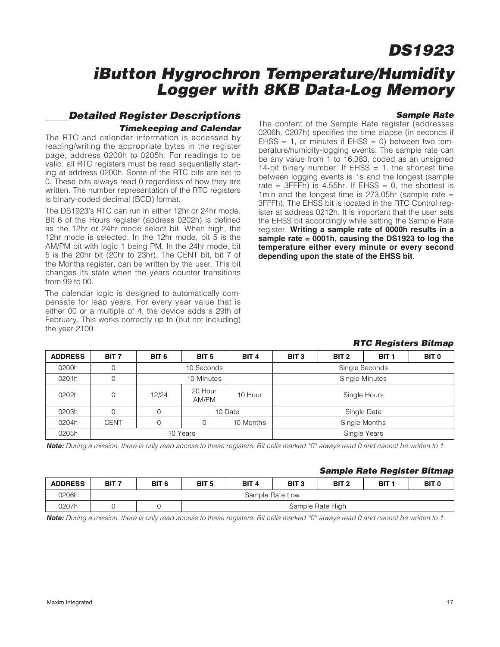### **iButton Hygrochron Temperature/Humidity Logger with 8KB Data-Log Memory**

#### **Sample Rate**

### **Detailed Register Descriptions Timekeeping and Calendar**

The RTC and calendar information is accessed by reading/writing the appropriate bytes in the register page, address 0200h to 0205h. For readings to be valid, all RTC registers must be read sequentially starting at address 0200h. Some of the RTC bits are set to 0. These bits always read 0 regardless of how they are written. The number representation of the RTC registers is binary-coded decimal (BCD) format.

The DS1923's RTC can run in either 12hr or 24hr mode. Bit 6 of the Hours register (address 0202h) is defined as the 12hr or 24hr mode select bit. When high, the 12hr mode is selected. In the 12hr mode, bit 5 is the AM/PM bit with logic 1 being PM. In the 24hr mode, bit 5 is the 20hr bit (20hr to 23hr). The CENT bit, bit 7 of the Months register, can be written by the user. This bit changes its state when the years counter transitions from 99 to 00.

The calendar logic is designed to automatically compensate for leap years. For every year value that is either 00 or a multiple of 4, the device adds a 29th of February. This works correctly up to (but not including) the year 2100.

The content of the Sample Rate register (addresses 0206h, 0207h) specifies the time elapse (in seconds if  $E$ HSS = 1, or minutes if  $E$ HSS = 0) between two temperature/humidity-logging events. The sample rate can be any value from 1 to 16,383, coded as an unsigned 14-bit binary number. If  $E$ HSS = 1, the shortest time between logging events is 1s and the longest (sample rate =  $3$ FFFh) is 4.55hr. If EHSS = 0, the shortest is 1min and the longest time is 273.05hr (sample rate  $=$ 3FFFh). The EHSS bit is located in the RTC Control register at address 0212h. It is important that the user sets the EHSS bit accordingly while setting the Sample Rate register. **Writing a sample rate of 0000h results in a sample rate = 0001h, causing the DS1923 to log the temperature either every minute or every second depending upon the state of the EHSS bit**.

#### **RTC Registers Bitmap**

| <b>ADDRESS</b> | BIT <sub>7</sub> | BIT <sub>6</sub> | BIT <sub>5</sub>             | BIT <sub>4</sub> | BIT <sub>3</sub> | BIT 2 | BIT <sub>1</sub> | <b>BIT 0</b> |  |
|----------------|------------------|------------------|------------------------------|------------------|------------------|-------|------------------|--------------|--|
| 0200h          | 0                |                  | 10 Seconds                   |                  | Single Seconds   |       |                  |              |  |
| 0201h          | 0                |                  | Single Minutes<br>10 Minutes |                  |                  |       |                  |              |  |
| 0202h          | 0                | 12/24            | 20 Hour<br>AM/PM             | 10 Hour          | Single Hours     |       |                  |              |  |
| 0203h          | 0                |                  |                              | 10 Date          | Single Date      |       |                  |              |  |
| 0204h          | <b>CENT</b>      |                  |                              | 10 Months        | Single Months    |       |                  |              |  |
| 0205h          |                  |                  | 10 Years                     |                  | Single Years     |       |                  |              |  |

**Note:** During a mission, there is only read access to these registers. Bit cells marked "0" always read 0 and cannot be written to 1.

#### **Sample Rate Register Bitmap**

| <b>ADDRESS</b> | BIT <sub>7</sub> | BIT <sub>6</sub> | BIT <sub>5</sub> | BIT <sub>4</sub> | BIT <sub>3</sub> | BIT <sub>2</sub> | BIT 1 | <b>BIT 0</b> |  |  |  |
|----------------|------------------|------------------|------------------|------------------|------------------|------------------|-------|--------------|--|--|--|
| 0206h          | Sample Rate Low  |                  |                  |                  |                  |                  |       |              |  |  |  |
| 0207h          |                  |                  | Sample Rate High |                  |                  |                  |       |              |  |  |  |

**Note:** During a mission, there is only read access to these registers. Bit cells marked "0" always read 0 and cannot be written to 1.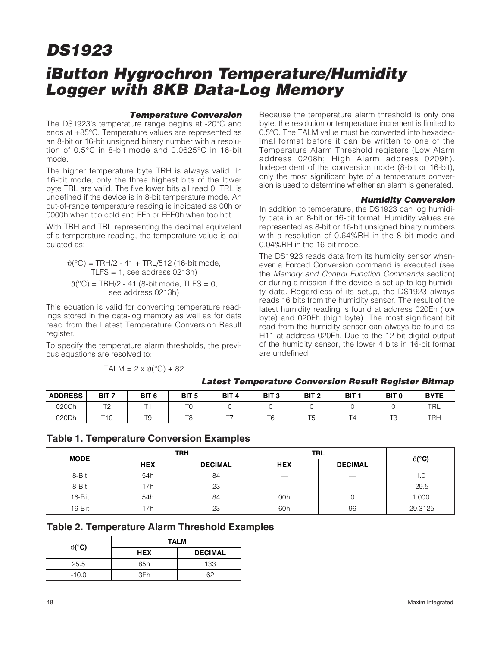## **iButton Hygrochron Temperature/Humidity Logger with 8KB Data-Log Memory**

#### **Temperature Conversion**

The DS1923's temperature range begins at -20°C and ends at +85°C. Temperature values are represented as an 8-bit or 16-bit unsigned binary number with a resolution of 0.5°C in 8-bit mode and 0.0625°C in 16-bit mode.

The higher temperature byte TRH is always valid. In 16-bit mode, only the three highest bits of the lower byte TRL are valid. The five lower bits all read 0. TRL is undefined if the device is in 8-bit temperature mode. An out-of-range temperature reading is indicated as 00h or 0000h when too cold and FFh or FFE0h when too hot.

With TRH and TRL representing the decimal equivalent of a temperature reading, the temperature value is calculated as:

$$
\vartheta(^{\circ}C) = TRH/2 - 41 + TRL/512 (16-bit mode,TLFS = 1, see address 0213h)
$$
\vartheta(^{\circ}C) = TRH/2 - 41 (8-bit mode, TLFS = 0,see address 0213h)
$$
$$

This equation is valid for converting temperature readings stored in the data-log memory as well as for data read from the Latest Temperature Conversion Result register.

To specify the temperature alarm thresholds, the previous equations are resolved to:

$$
TALM = 2 \times \vartheta({}^{\circ}C) + 82
$$

Because the temperature alarm threshold is only one byte, the resolution or temperature increment is limited to 0.5°C. The TALM value must be converted into hexadecimal format before it can be written to one of the Temperature Alarm Threshold registers (Low Alarm address 0208h; High Alarm address 0209h). Independent of the conversion mode (8-bit or 16-bit), only the most significant byte of a temperature conversion is used to determine whether an alarm is generated.

#### **Humidity Conversion**

In addition to temperature, the DS1923 can log humidity data in an 8-bit or 16-bit format. Humidity values are represented as 8-bit or 16-bit unsigned binary numbers with a resolution of 0.64%RH in the 8-bit mode and 0.04%RH in the 16-bit mode.

The DS1923 reads data from its humidity sensor whenever a Forced Conversion command is executed (see the Memory and Control Function Commands section) or during a mission if the device is set up to log humidity data. Regardless of its setup, the DS1923 always reads 16 bits from the humidity sensor. The result of the latest humidity reading is found at address 020Eh (low byte) and 020Fh (high byte). The most significant bit read from the humidity sensor can always be found as H11 at address 020Fh. Due to the 12-bit digital output of the humidity sensor, the lower 4 bits in 16-bit format are undefined.

|                |                            |                  |                     |                  |                    |                  |        | -                 |             |
|----------------|----------------------------|------------------|---------------------|------------------|--------------------|------------------|--------|-------------------|-------------|
| <b>ADDRESS</b> | BIT <sub>7</sub>           | BIT <sub>6</sub> | BIT <sub>5</sub>    | BIT <sub>4</sub> | BIT <sub>3</sub>   | BIT <sub>2</sub> | BIT :  | BIT <sub>0</sub>  | <b>BYTE</b> |
| 020Ch          | T <sub>O</sub><br><u>_</u> | ÷                | $T^{\prime}$<br>1 U |                  |                    |                  |        |                   | TRL         |
| 020Dh          | $T A \cap$                 | TO<br>ت ا        | T8                  | ---              | $\tau$<br><b>b</b> | $-$<br>15        | -<br>4 | $T^{\sim}$<br>. ت | <b>TRH</b>  |

### **Latest Temperature Conversion Result Register Bitmap**

### **Table 1. Temperature Conversion Examples**

| <b>MODE</b> | <b>TRH</b> |                | <b>TRL</b> | $\vartheta$ (°C)               |            |
|-------------|------------|----------------|------------|--------------------------------|------------|
|             | <b>HEX</b> | <b>DECIMAL</b> | <b>HEX</b> | <b>DECIMAL</b>                 |            |
| 8-Bit       | 54h        | 84             |            |                                | 1.U        |
| 8-Bit       | 17h        | 23             |            | $\overbrace{\hspace{25mm}}^{}$ | $-29.5$    |
| $16-Bit$    | 54h        | 84             | 00h        |                                | 1.000      |
| $16-Bit$    | 17h        | 23             | 60h        | 96                             | $-29.3125$ |

|  | <b>Table 2. Temperature Alarm Threshold Examples</b> |  |  |  |
|--|------------------------------------------------------|--|--|--|
|--|------------------------------------------------------|--|--|--|

| $\vartheta$ (°C) | <b>TALM</b> |                |
|------------------|-------------|----------------|
|                  | <b>HEX</b>  | <b>DECIMAL</b> |
| 25.5             | 85h         | 133            |
| $-10.0$          | 3Fh         | 62             |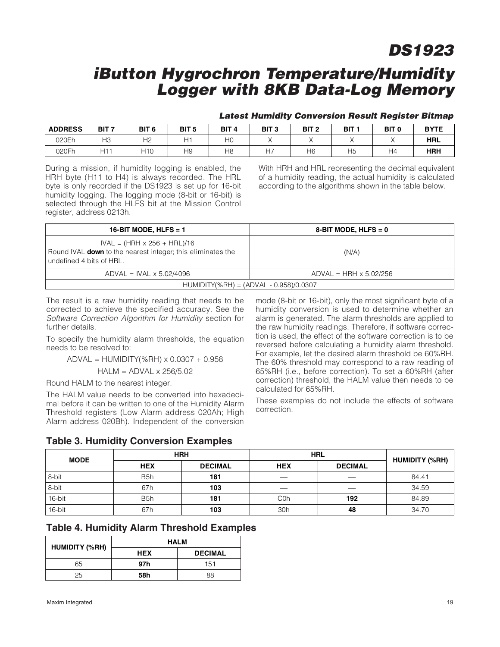### **iButton Hygrochron Temperature/Humidity Logger with 8KB Data-Log Memory**

#### **Latest Humidity Conversion Result Register Bitmap**

| <b>ADDRESS</b> | BIT <sub>7</sub> | BIT <sub>6</sub> | BIT <sub>5</sub> | BIT <sub>4</sub> | BIT <sub>3</sub> | BIT <sub>2</sub> | <b>BIT</b> | BIT <sub>0</sub> | <b>BYTE</b> |
|----------------|------------------|------------------|------------------|------------------|------------------|------------------|------------|------------------|-------------|
| 020Eh          | HЗ               | H <sub>2</sub>   | н.               | НO               |                  |                  |            |                  | <b>HRL</b>  |
| 020Fh          | ۱ + اس           | 110              | H <sub>9</sub>   | H8               |                  | H6               | Н5         | Η4               | <b>HRH</b>  |

During a mission, if humidity logging is enabled, the HRH byte (H11 to H4) is always recorded. The HRL byte is only recorded if the DS1923 is set up for 16-bit humidity logging. The logging mode (8-bit or 16-bit) is selected through the HLFS bit at the Mission Control register, address 0213h.

With HRH and HRL representing the decimal equivalent of a humidity reading, the actual humidity is calculated according to the algorithms shown in the table below.

| 16-BIT MODE, HLFS = $1$                                                                                                              | 8-BIT MODE, HLFS $= 0$          |
|--------------------------------------------------------------------------------------------------------------------------------------|---------------------------------|
| $IVAL = (HRH \times 256 + HRL)/16$<br>Round IVAL <b>down</b> to the nearest integer; this eliminates the<br>undefined 4 bits of HRL. | (N/A)                           |
| $ADVAL$ = IVAL $\times$ 5.02/4096                                                                                                    | $ADVAL$ = HRH $\times$ 5.02/256 |
| $HUMIDITY(%RH) = (ADVAL - 0.958)/0.0307$                                                                                             |                                 |

The result is a raw humidity reading that needs to be corrected to achieve the specified accuracy. See the Software Correction Algorithm for Humidity section for further details.

To specify the humidity alarm thresholds, the equation needs to be resolved to:

> ADVAL = HUMIDITY(%RH) x 0.0307 + 0.958 HALM = ADVAL x 256/5.02

Round HALM to the nearest integer.

The HALM value needs to be converted into hexadecimal before it can be written to one of the Humidity Alarm Threshold registers (Low Alarm address 020Ah; High Alarm address 020Bh). Independent of the conversion mode (8-bit or 16-bit), only the most significant byte of a humidity conversion is used to determine whether an alarm is generated. The alarm thresholds are applied to the raw humidity readings. Therefore, if software correction is used, the effect of the software correction is to be reversed before calculating a humidity alarm threshold. For example, let the desired alarm threshold be 60%RH. The 60% threshold may correspond to a raw reading of 65%RH (i.e., before correction). To set a 60%RH (after correction) threshold, the HALM value then needs to be calculated for 65%RH.

These examples do not include the effects of software correction.

### **Table 3. Humidity Conversion Examples**

| <b>MODE</b> | <b>HRH</b>       |                | <b>HRL</b> | <b>HUMIDITY (%RH)</b> |       |
|-------------|------------------|----------------|------------|-----------------------|-------|
|             | <b>HEX</b>       | <b>DECIMAL</b> | <b>HEX</b> | <b>DECIMAL</b>        |       |
| 8-bit       | B <sub>5</sub> h | 181            |            | __                    | 84.41 |
| 8-bit       | 67h              | 103            |            |                       | 34.59 |
| 16-bit      | B <sub>5</sub> h | 181            | C0h        | 192                   | 84.89 |
| 16-bit      | 67h              | 103            | 30h        | 48                    | 34.70 |

|  |  |  | <b>Table 4. Humidity Alarm Threshold Examples</b> |  |
|--|--|--|---------------------------------------------------|--|
|--|--|--|---------------------------------------------------|--|

| <b>HUMIDITY (%RH)</b> |     | <b>HALM</b>    |
|-----------------------|-----|----------------|
|                       | HEX | <b>DECIMAL</b> |
| 65                    | 97h | 151            |
| 25                    | 58h | 88             |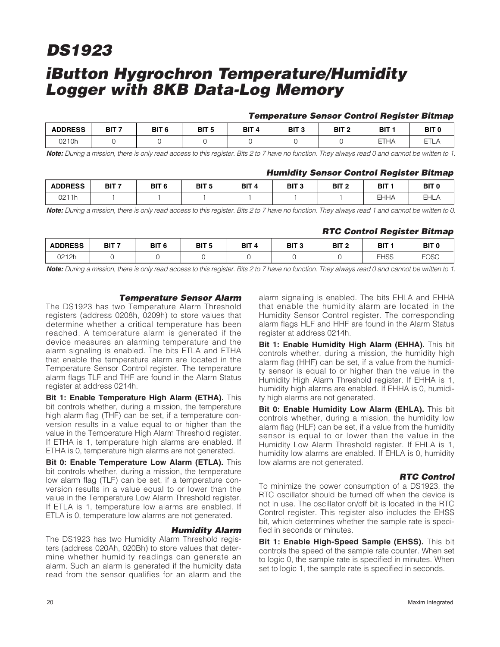### **iButton Hygrochron Temperature/Humidity Logger with 8KB Data-Log Memory**

#### **Temperature Sensor Control Register Bitmap**

| <b>ADDRESS</b> | BIT <sub>7</sub> | BIT <sub>6</sub> | DIT E<br>ט ום | BIT | BIT <sub>3</sub> | BIT <sub>2</sub> | DIT.<br>ы         | BIT (   |
|----------------|------------------|------------------|---------------|-----|------------------|------------------|-------------------|---------|
| 0210h          |                  |                  |               |     |                  |                  | <b>ETHA</b><br>ΗF | --<br>_ |

**Note:** During a mission, there is only read access to this register. Bits 2 to 7 have no function. They always read 0 and cannot be written to 1.

#### **Humidity Sensor Control Register Bitmap**

| <b>ADDRESS</b>   | BIT <sub>7</sub> | BIT <sub>6</sub> | <b>BIT</b> F | BIT <sub>4</sub> | BIT <sub>3</sub> | BIT <sub>2</sub> | BIT         | BIT <sub>(</sub> |
|------------------|------------------|------------------|--------------|------------------|------------------|------------------|-------------|------------------|
| 2211h<br>UZ<br>. |                  |                  |              |                  |                  |                  | <b>EHHA</b> | EHL.             |

**Note:** During a mission, there is only read access to this register. Bits 2 to 7 have no function. They always read 1 and cannot be written to 0.

#### **RTC Control Register Bitmap**

| <b>ADDRESS</b> | BIT <sub>7</sub> | BIT <sub>6</sub> | BIT <sub>5</sub> | BIT <sub>4</sub> | BIT <sub>3</sub> | BIT 2 | BIT         | BIT (       |
|----------------|------------------|------------------|------------------|------------------|------------------|-------|-------------|-------------|
| 0212h          |                  |                  |                  |                  |                  |       | <b>EHSS</b> | <b>EOSC</b> |

**Note:** During a mission, there is only read access to this register. Bits 2 to 7 have no function. They always read 0 and cannot be written to 1.

#### **Temperature Sensor Alarm**

The DS1923 has two Temperature Alarm Threshold registers (address 0208h, 0209h) to store values that determine whether a critical temperature has been reached. A temperature alarm is generated if the device measures an alarming temperature and the alarm signaling is enabled. The bits ETLA and ETHA that enable the temperature alarm are located in the Temperature Sensor Control register. The temperature alarm flags TLF and THF are found in the Alarm Status register at address 0214h.

**Bit 1: Enable Temperature High Alarm (ETHA).** This bit controls whether, during a mission, the temperature high alarm flag (THF) can be set, if a temperature conversion results in a value equal to or higher than the value in the Temperature High Alarm Threshold register. If ETHA is 1, temperature high alarms are enabled. If ETHA is 0, temperature high alarms are not generated.

**Bit 0: Enable Temperature Low Alarm (ETLA).** This bit controls whether, during a mission, the temperature low alarm flag (TLF) can be set, if a temperature conversion results in a value equal to or lower than the value in the Temperature Low Alarm Threshold register. If ETLA is 1, temperature low alarms are enabled. If ETLA is 0, temperature low alarms are not generated.

#### **Humidity Alarm**

The DS1923 has two Humidity Alarm Threshold registers (address 020Ah, 020Bh) to store values that determine whether humidity readings can generate an alarm. Such an alarm is generated if the humidity data read from the sensor qualifies for an alarm and the

alarm signaling is enabled. The bits EHLA and EHHA that enable the humidity alarm are located in the Humidity Sensor Control register. The corresponding alarm flags HLF and HHF are found in the Alarm Status register at address 0214h.

**Bit 1: Enable Humidity High Alarm (EHHA).** This bit controls whether, during a mission, the humidity high alarm flag (HHF) can be set, if a value from the humidity sensor is equal to or higher than the value in the Humidity High Alarm Threshold register. If EHHA is 1, humidity high alarms are enabled. If EHHA is 0, humidity high alarms are not generated.

**Bit 0: Enable Humidity Low Alarm (EHLA).** This bit controls whether, during a mission, the humidity low alarm flag (HLF) can be set, if a value from the humidity sensor is equal to or lower than the value in the Humidity Low Alarm Threshold register. If EHLA is 1, humidity low alarms are enabled. If EHLA is 0, humidity low alarms are not generated.

#### **RTC Control**

To minimize the power consumption of a DS1923, the RTC oscillator should be turned off when the device is not in use. The oscillator on/off bit is located in the RTC Control register. This register also includes the EHSS bit, which determines whether the sample rate is specified in seconds or minutes.

**Bit 1: Enable High-Speed Sample (EHSS).** This bit controls the speed of the sample rate counter. When set to logic 0, the sample rate is specified in minutes. When set to logic 1, the sample rate is specified in seconds.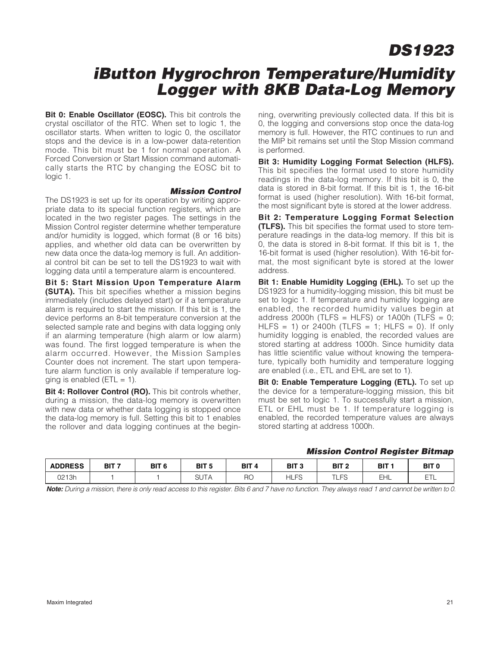### **iButton Hygrochron Temperature/Humidity Logger with 8KB Data-Log Memory**

**Bit 0: Enable Oscillator (EOSC).** This bit controls the crystal oscillator of the RTC. When set to logic 1, the oscillator starts. When written to logic 0, the oscillator stops and the device is in a low-power data-retention mode. This bit must be 1 for normal operation. A Forced Conversion or Start Mission command automatically starts the RTC by changing the EOSC bit to logic 1.

#### **Mission Control**

The DS1923 is set up for its operation by writing appropriate data to its special function registers, which are located in the two register pages. The settings in the Mission Control register determine whether temperature and/or humidity is logged, which format (8 or 16 bits) applies, and whether old data can be overwritten by new data once the data-log memory is full. An additional control bit can be set to tell the DS1923 to wait with logging data until a temperature alarm is encountered.

**Bit 5: Start Mission Upon Temperature Alarm (SUTA).** This bit specifies whether a mission begins immediately (includes delayed start) or if a temperature alarm is required to start the mission. If this bit is 1, the device performs an 8-bit temperature conversion at the selected sample rate and begins with data logging only if an alarming temperature (high alarm or low alarm) was found. The first logged temperature is when the alarm occurred. However, the Mission Samples Counter does not increment. The start upon temperature alarm function is only available if temperature logging is enabled ( $ETL = 1$ ).

**Bit 4: Rollover Control (RO).** This bit controls whether, during a mission, the data-log memory is overwritten with new data or whether data logging is stopped once the data-log memory is full. Setting this bit to 1 enables the rollover and data logging continues at the beginning, overwriting previously collected data. If this bit is 0, the logging and conversions stop once the data-log memory is full. However, the RTC continues to run and the MIP bit remains set until the Stop Mission command is performed.

**Bit 3: Humidity Logging Format Selection (HLFS).** This bit specifies the format used to store humidity readings in the data-log memory. If this bit is 0, the data is stored in 8-bit format. If this bit is 1, the 16-bit format is used (higher resolution). With 16-bit format, the most significant byte is stored at the lower address.

**Bit 2: Temperature Logging Format Selection (TLFS).** This bit specifies the format used to store temperature readings in the data-log memory. If this bit is 0, the data is stored in 8-bit format. If this bit is 1, the 16-bit format is used (higher resolution). With 16-bit format, the most significant byte is stored at the lower address.

**Bit 1: Enable Humidity Logging (EHL).** To set up the DS1923 for a humidity-logging mission, this bit must be set to logic 1. If temperature and humidity logging are enabled, the recorded humidity values begin at address 2000h (TLFS = HLFS) or  $1A00h$  (TLFS = 0; HLFS = 1) or 2400h (TLFS = 1; HLFS = 0). If only humidity logging is enabled, the recorded values are stored starting at address 1000h. Since humidity data has little scientific value without knowing the temperature, typically both humidity and temperature logging are enabled (i.e., ETL and EHL are set to 1).

**Bit 0: Enable Temperature Logging (ETL).** To set up the device for a temperature-logging mission, this bit must be set to logic 1. To successfully start a mission, ETL or EHL must be 1. If temperature logging is enabled, the recorded temperature values are always stored starting at address 1000h.

#### **Mission Control Register Bitmap**

| <b>ADDRESS</b> | BIT <sub>7</sub> | BIT <sub>6</sub> | BIT <sub>5</sub>           | BIT <sub>4</sub> | BIT <sub>3</sub>      | BIT <sub>2</sub>                        | BIT      | <b>BIT</b> |
|----------------|------------------|------------------|----------------------------|------------------|-----------------------|-----------------------------------------|----------|------------|
|                |                  |                  | $\sim$                     |                  |                       |                                         |          |            |
| 0213h          |                  |                  | $\sim$<br><b>.</b><br>ו טט | RO               | ЕS<br>HL.<br><b>ب</b> | $\overline{\phantom{0}}$<br>-<br>$\sim$ | ⊥∟<br>-- | EТ<br>드트   |

**Note:** During a mission, there is only read access to this register. Bits 6 and 7 have no function. They always read 1 and cannot be written to 0.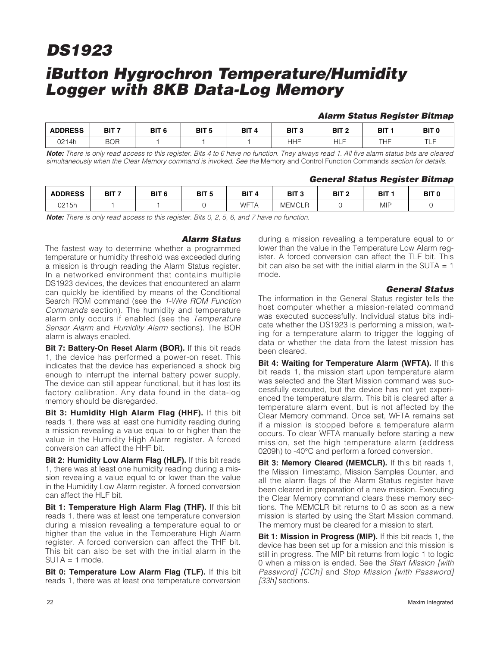### **iButton Hygrochron Temperature/Humidity Logger with 8KB Data-Log Memory**

#### **Alarm Status Register Bitmap**

| <b>ADDRESS</b> | BIT <sub>7</sub> | BIT <sub>6</sub> | BIT <sub>5</sub> | BIT <sub>4</sub><br>--- | BIT <sub>3</sub> | BIT <sub>2</sub> | BIT | BIT (    |
|----------------|------------------|------------------|------------------|-------------------------|------------------|------------------|-----|----------|
| 0214h          | <b>BOR</b>       |                  |                  |                         | ⊣HF              | -11<br>℡         | THF | T<br>1 L |

**Note:** There is only read access to this register. Bits 4 to 6 have no function. They always read 1. All five alarm status bits are cleared simultaneously when the Clear Memory command is invoked. See the Memory and Control Function Commands section for details.

#### **General Status Register Bitmap**

| <b>ADDRESS</b> | BIT <sub>7</sub> | BIT <sub>6</sub> | BIT <sub>5</sub> | BIT <sub>4</sub> | BIT <sub>3</sub>          | BIT <sub>2</sub> | BIT        | BIT <sub>0</sub> |
|----------------|------------------|------------------|------------------|------------------|---------------------------|------------------|------------|------------------|
| 0215h          |                  |                  |                  | WFTA             | <b>MEMCLF</b><br><b>R</b> |                  | <b>MIP</b> |                  |

**Note:** There is only read access to this register. Bits 0, 2, 5, 6, and 7 have no function.

### **Alarm Status**

The fastest way to determine whether a programmed temperature or humidity threshold was exceeded during a mission is through reading the Alarm Status register. In a networked environment that contains multiple DS1923 devices, the devices that encountered an alarm can quickly be identified by means of the Conditional Search ROM command (see the 1-Wire ROM Function Commands section). The humidity and temperature alarm only occurs if enabled (see the Temperature Sensor Alarm and Humidity Alarm sections). The BOR alarm is always enabled.

**Bit 7: Battery-On Reset Alarm (BOR).** If this bit reads 1, the device has performed a power-on reset. This indicates that the device has experienced a shock big enough to interrupt the internal battery power supply. The device can still appear functional, but it has lost its factory calibration. Any data found in the data-log memory should be disregarded.

**Bit 3: Humidity High Alarm Flag (HHF).** If this bit reads 1, there was at least one humidity reading during a mission revealing a value equal to or higher than the value in the Humidity High Alarm register. A forced conversion can affect the HHF bit.

**Bit 2: Humidity Low Alarm Flag (HLF).** If this bit reads 1, there was at least one humidity reading during a mission revealing a value equal to or lower than the value in the Humidity Low Alarm register. A forced conversion can affect the HLF bit.

**Bit 1: Temperature High Alarm Flag (THF).** If this bit reads 1, there was at least one temperature conversion during a mission revealing a temperature equal to or higher than the value in the Temperature High Alarm register. A forced conversion can affect the THF bit. This bit can also be set with the initial alarm in the SUTA = 1 mode.

**Bit 0: Temperature Low Alarm Flag (TLF).** If this bit reads 1, there was at least one temperature conversion during a mission revealing a temperature equal to or lower than the value in the Temperature Low Alarm register. A forced conversion can affect the TLF bit. This bit can also be set with the initial alarm in the SUTA  $= 1$ mode.

#### **General Status**

The information in the General Status register tells the host computer whether a mission-related command was executed successfully. Individual status bits indicate whether the DS1923 is performing a mission, waiting for a temperature alarm to trigger the logging of data or whether the data from the latest mission has been cleared.

**Bit 4: Waiting for Temperature Alarm (WFTA).** If this bit reads 1, the mission start upon temperature alarm was selected and the Start Mission command was successfully executed, but the device has not yet experienced the temperature alarm. This bit is cleared after a temperature alarm event, but is not affected by the Clear Memory command. Once set, WFTA remains set if a mission is stopped before a temperature alarm occurs. To clear WFTA manually before starting a new mission, set the high temperature alarm (address 0209h) to -40°C and perform a forced conversion.

**Bit 3: Memory Cleared (MEMCLR).** If this bit reads 1, the Mission Timestamp, Mission Samples Counter, and all the alarm flags of the Alarm Status register have been cleared in preparation of a new mission. Executing the Clear Memory command clears these memory sections. The MEMCLR bit returns to 0 as soon as a new mission is started by using the Start Mission command. The memory must be cleared for a mission to start.

**Bit 1: Mission in Progress (MIP).** If this bit reads 1, the device has been set up for a mission and this mission is still in progress. The MIP bit returns from logic 1 to logic 0 when a mission is ended. See the Start Mission [with Password] [CCh] and Stop Mission [with Password] [33h] sections.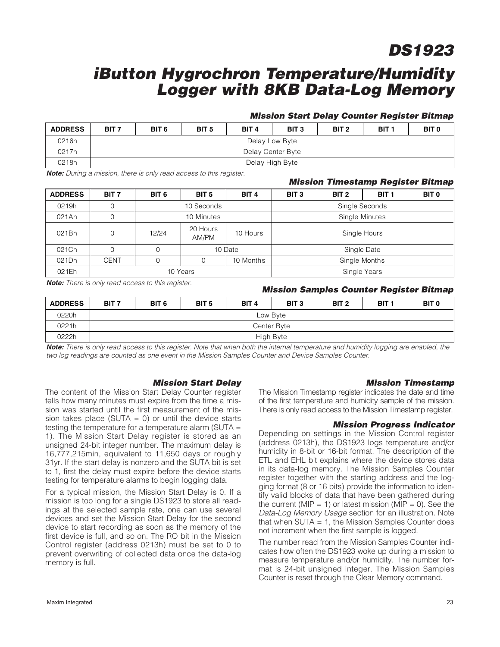### **iButton Hygrochron Temperature/Humidity Logger with 8KB Data-Log Memory**

#### **Mission Start Delay Counter Register Bitmap**

| <b>ADDRESS</b> | BIT <sub>7</sub> | BIT <sub>6</sub>  | BIT <sub>5</sub> | BIT <sub>4</sub> | BIT <sub>3</sub> | BIT <sub>2</sub> | BIT <sub>1</sub> | BIT <sub>0</sub> |  |
|----------------|------------------|-------------------|------------------|------------------|------------------|------------------|------------------|------------------|--|
| 0216h          |                  | Delay Low Byte    |                  |                  |                  |                  |                  |                  |  |
| 0217h          |                  | Delay Center Byte |                  |                  |                  |                  |                  |                  |  |
| 0218h          |                  | Delay High Byte   |                  |                  |                  |                  |                  |                  |  |

**Note:** During a mission, there is only read access to this register.

### **Mission Timestamp Register Bitmap** ADDRESS | BIT7 | BIT6 | BIT5 | BIT4 | BIT3 | BIT2 | BIT1 | BIT0 0219h 0 10 Seconds 219h 3ingle Seconds 021Ah 0 10 Minutes 10 Minutes Single Minutes 021Bh 0 12/24 20 Hours 20 Hours 10 Hours | Single Hours | Single Hours | Single Hours | Single Hours | Single Hours | Single Hours | Single Hours | Single Hours | Single Hours | Single Hours | Single Hours | Single Hours | Single Hours | Single 021Ch 0 0 0 10 Date 1 Single Date 021Dh | CENT | 0 | 0 | 10 Months | Single Months 021Eh | 10 Years Single Years Single Years Single Years Single Years Single Years

**Note:** There is only read access to this register.

#### **Mission Samples Counter Register Bitmap**

| <b>ADDRESS</b> | BIT <sub>7</sub> | BIT <sub>6</sub> | BIT <sub>5</sub> | BIT <sub>4</sub> | BIT <sub>3</sub> | BIT <sub>2</sub> | BIT <sub>1</sub> | BIT <sub>0</sub> |  |
|----------------|------------------|------------------|------------------|------------------|------------------|------------------|------------------|------------------|--|
| 0220h          |                  | Low Byte         |                  |                  |                  |                  |                  |                  |  |
| 0221h          |                  | Center Byte      |                  |                  |                  |                  |                  |                  |  |
| 0222h          |                  | High Byte        |                  |                  |                  |                  |                  |                  |  |

**Note:** There is only read access to this register. Note that when both the internal temperature and humidity logging are enabled, the two log readings are counted as one event in the Mission Samples Counter and Device Samples Counter.

#### **Mission Start Delay**

The content of the Mission Start Delay Counter register tells how many minutes must expire from the time a mission was started until the first measurement of the mission takes place (SUTA  $= 0$ ) or until the device starts testing the temperature for a temperature alarm (SUTA = 1). The Mission Start Delay register is stored as an unsigned 24-bit integer number. The maximum delay is 16,777,215min, equivalent to 11,650 days or roughly 31yr. If the start delay is nonzero and the SUTA bit is set to 1, first the delay must expire before the device starts testing for temperature alarms to begin logging data.

For a typical mission, the Mission Start Delay is 0. If a mission is too long for a single DS1923 to store all readings at the selected sample rate, one can use several devices and set the Mission Start Delay for the second device to start recording as soon as the memory of the first device is full, and so on. The RO bit in the Mission Control register (address 0213h) must be set to 0 to prevent overwriting of collected data once the data-log memory is full.

#### **Mission Timestamp**

The Mission Timestamp register indicates the date and time of the first temperature and humidity sample of the mission. There is only read access to the Mission Timestamp register.

#### **Mission Progress Indicator**

Depending on settings in the Mission Control register (address 0213h), the DS1923 logs temperature and/or humidity in 8-bit or 16-bit format. The description of the ETL and EHL bit explains where the device stores data in its data-log memory. The Mission Samples Counter register together with the starting address and the logging format (8 or 16 bits) provide the information to identify valid blocks of data that have been gathered during the current (MIP = 1) or latest mission (MIP = 0). See the Data-Log Memory Usage section for an illustration. Note that when SUTA = 1, the Mission Samples Counter does not increment when the first sample is logged.

The number read from the Mission Samples Counter indicates how often the DS1923 woke up during a mission to measure temperature and/or humidity. The number format is 24-bit unsigned integer. The Mission Samples Counter is reset through the Clear Memory command.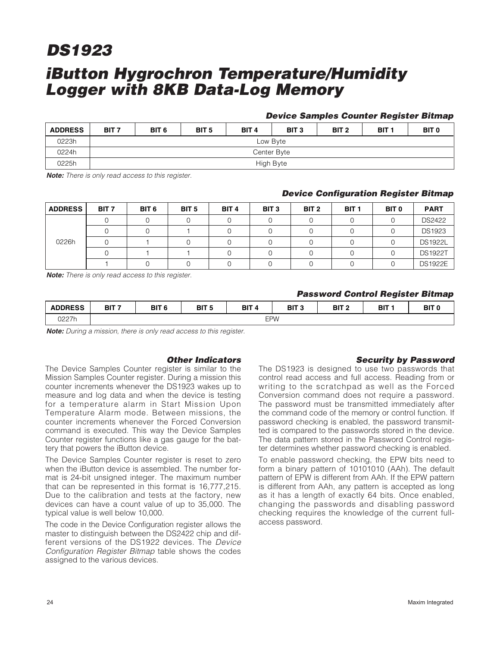### **iButton Hygrochron Temperature/Humidity Logger with 8KB Data-Log Memory**

#### **Device Samples Counter Register Bitmap**

| <b>ADDRESS</b> | BIT <sub>7</sub> | BIT <sub>6</sub> | BIT <sub>5</sub> | BIT <sub>4</sub> | BIT <sub>3</sub> | BIT <sub>2</sub> | BIT <sub>1</sub> | BIT <sub>0</sub> |  |
|----------------|------------------|------------------|------------------|------------------|------------------|------------------|------------------|------------------|--|
| 0223h          |                  | Low Byte         |                  |                  |                  |                  |                  |                  |  |
| 0224h          |                  | Center Byte      |                  |                  |                  |                  |                  |                  |  |
| 0225h          |                  | High Byte        |                  |                  |                  |                  |                  |                  |  |

**Note:** There is only read access to this register.

#### **Device Configuration Register Bitmap**

| <b>ADDRESS</b> | BIT <sub>7</sub> | BIT <sub>6</sub> | BIT <sub>5</sub> | BIT <sub>4</sub> | BIT <sub>3</sub> | BIT <sub>2</sub> | BIT <sub>1</sub> | BIT 0 | <b>PART</b>    |
|----------------|------------------|------------------|------------------|------------------|------------------|------------------|------------------|-------|----------------|
|                |                  |                  |                  |                  |                  |                  |                  |       | <b>DS2422</b>  |
|                |                  |                  |                  |                  |                  |                  |                  |       | <b>DS1923</b>  |
| 0226h          |                  |                  |                  |                  |                  |                  |                  |       | <b>DS1922L</b> |
|                |                  |                  |                  |                  |                  |                  |                  |       | <b>DS1922T</b> |
|                |                  |                  |                  |                  |                  |                  |                  |       | <b>DS1922E</b> |

**Note:** There is only read access to this register.

#### **Password Control Register Bitmap**

| <b>ADDRESS</b> | BIT <sub>7</sub> | BIT <sub>6</sub> | BIT <sub>5</sub> | BIT<br>o | י דום<br>ык | BIT <sub>2</sub> | <b>BIT</b> | BIT 1 |
|----------------|------------------|------------------|------------------|----------|-------------|------------------|------------|-------|
| 0227h          |                  | <b>EPW</b>       |                  |          |             |                  |            |       |

**Note:** During a mission, there is only read access to this register.

#### **Other Indicators**

The Device Samples Counter register is similar to the Mission Samples Counter register. During a mission this counter increments whenever the DS1923 wakes up to measure and log data and when the device is testing for a temperature alarm in Start Mission Upon Temperature Alarm mode. Between missions, the counter increments whenever the Forced Conversion command is executed. This way the Device Samples Counter register functions like a gas gauge for the battery that powers the iButton device.

The Device Samples Counter register is reset to zero when the iButton device is assembled. The number format is 24-bit unsigned integer. The maximum number that can be represented in this format is 16,777,215. Due to the calibration and tests at the factory, new devices can have a count value of up to 35,000. The typical value is well below 10,000.

The code in the Device Configuration register allows the master to distinguish between the DS2422 chip and different versions of the DS1922 devices. The Device Configuration Register Bitmap table shows the codes assigned to the various devices.

#### **Security by Password**

The DS1923 is designed to use two passwords that control read access and full access. Reading from or writing to the scratchpad as well as the Forced Conversion command does not require a password. The password must be transmitted immediately after the command code of the memory or control function. If password checking is enabled, the password transmitted is compared to the passwords stored in the device. The data pattern stored in the Password Control register determines whether password checking is enabled.

To enable password checking, the EPW bits need to form a binary pattern of 10101010 (AAh). The default pattern of EPW is different from AAh. If the EPW pattern is different from AAh, any pattern is accepted as long as it has a length of exactly 64 bits. Once enabled, changing the passwords and disabling password checking requires the knowledge of the current fullaccess password.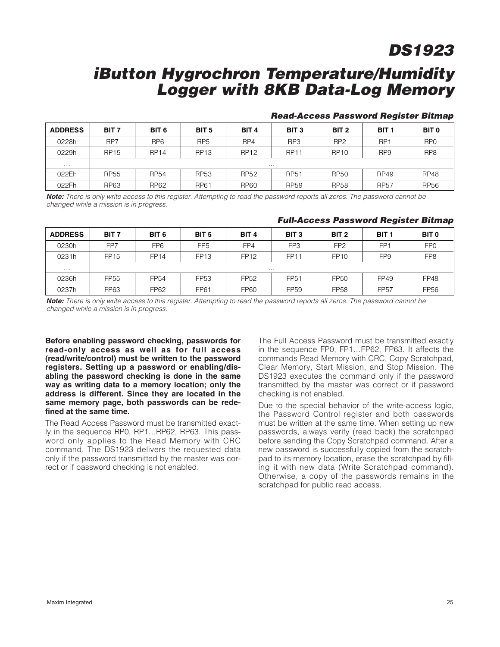## **iButton Hygrochron Temperature/Humidity Logger with 8KB Data-Log Memory**

| <b>ADDRESS</b> | BIT <sub>7</sub> | BIT <sub>6</sub> | BIT <sub>5</sub> | BIT <sub>4</sub> | BIT <sub>3</sub> | BIT <sub>2</sub> | BIT <sub>1</sub> | BIT <sub>0</sub> |
|----------------|------------------|------------------|------------------|------------------|------------------|------------------|------------------|------------------|
| 0228h          | RP7              | RP <sub>6</sub>  | RP <sub>5</sub>  | RP4              | RP3              | RP <sub>2</sub>  | RP <sub>1</sub>  | RP <sub>0</sub>  |
| 0229h          | <b>RP15</b>      | <b>RP14</b>      | <b>RP13</b>      | <b>RP12</b>      | <b>RP11</b>      | <b>RP10</b>      | RP <sub>9</sub>  | RP <sub>8</sub>  |
| $\cdots$       | $\cdots$         |                  |                  |                  |                  |                  |                  |                  |
| 022Eh          | <b>RP55</b>      | <b>RP54</b>      | <b>RP53</b>      | <b>RP52</b>      | <b>RP51</b>      | <b>RP50</b>      | <b>RP49</b>      | <b>RP48</b>      |
| 022Fh          | <b>RP63</b>      | <b>RP62</b>      | <b>RP61</b>      | <b>RP60</b>      | <b>RP59</b>      | <b>RP58</b>      | <b>RP57</b>      | <b>RP56</b>      |

### **Read-Access Password Register Bitmap**

**Note:** There is only write access to this register. Attempting to read the password reports all zeros. The password cannot be changed while a mission is in progress.

| <b>ADDRESS</b> | BIT <sub>7</sub> | BIT <sub>6</sub> | BIT <sub>5</sub> | BIT <sub>4</sub> | BIT <sub>3</sub> | BIT <sub>2</sub> | BIT <sub>1</sub> | BIT <sub>0</sub> |
|----------------|------------------|------------------|------------------|------------------|------------------|------------------|------------------|------------------|
| 0230h          | FP7              | FP <sub>6</sub>  | FP <sub>5</sub>  | FP4              | FP3              | FP <sub>2</sub>  | FP <sub>1</sub>  | FP <sub>0</sub>  |
| 0231h          | <b>FP15</b>      | <b>FP14</b>      | <b>FP13</b>      | <b>FP12</b>      | <b>FP11</b>      | <b>FP10</b>      | FP <sub>9</sub>  | FP <sub>8</sub>  |
| $\cdots$       |                  |                  |                  | .                |                  |                  |                  |                  |
| 0236h          | FP55             | FP54             | <b>FP53</b>      | <b>FP52</b>      | FP <sub>51</sub> | <b>FP50</b>      | FP49             | <b>FP48</b>      |
| 0237h          | FP63             | FP62             | <b>FP61</b>      | <b>FP60</b>      | <b>FP59</b>      | <b>FP58</b>      | <b>FP57</b>      | <b>FP56</b>      |

#### **Full-Access Password Register Bitmap**

**Note:** There is only write access to this register. Attempting to read the password reports all zeros. The password cannot be changed while a mission is in progress.

**Before enabling password checking, passwords for read-only access as well as for full access (read/write/control) must be written to the password registers. Setting up a password or enabling/disabling the password checking is done in the same way as writing data to a memory location; only the address is different. Since they are located in the same memory page, both passwords can be redefined at the same time.**

The Read Access Password must be transmitted exactly in the sequence RP0, RP1…RP62, RP63. This password only applies to the Read Memory with CRC command. The DS1923 delivers the requested data only if the password transmitted by the master was correct or if password checking is not enabled.

The Full Access Password must be transmitted exactly in the sequence FP0, FP1…FP62, FP63. It affects the commands Read Memory with CRC, Copy Scratchpad, Clear Memory, Start Mission, and Stop Mission. The DS1923 executes the command only if the password transmitted by the master was correct or if password checking is not enabled.

Due to the special behavior of the write-access logic, the Password Control register and both passwords must be written at the same time. When setting up new passwords, always verify (read back) the scratchpad before sending the Copy Scratchpad command. After a new password is successfully copied from the scratchpad to its memory location, erase the scratchpad by filling it with new data (Write Scratchpad command). Otherwise, a copy of the passwords remains in the scratchpad for public read access.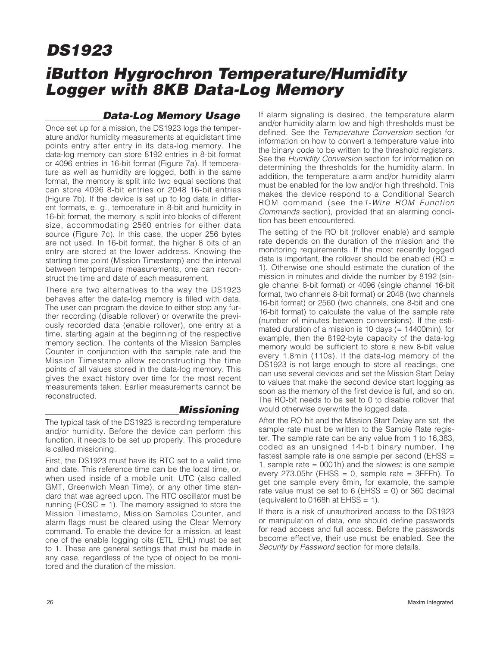## **iButton Hygrochron Temperature/Humidity Logger with 8KB Data-Log Memory**

### **Data-Log Memory Usage**

Once set up for a mission, the DS1923 logs the temperature and/or humidity measurements at equidistant time points entry after entry in its data-log memory. The data-log memory can store 8192 entries in 8-bit format or 4096 entries in 16-bit format (Figure 7a). If temperature as well as humidity are logged, both in the same format, the memory is split into two equal sections that can store 4096 8-bit entries or 2048 16-bit entries (Figure 7b). If the device is set up to log data in different formats, e. g., temperature in 8-bit and humidity in 16-bit format, the memory is split into blocks of different size, accommodating 2560 entries for either data source (Figure 7c). In this case, the upper 256 bytes are not used. In 16-bit format, the higher 8 bits of an entry are stored at the lower address. Knowing the starting time point (Mission Timestamp) and the interval between temperature measurements, one can reconstruct the time and date of each measurement.

There are two alternatives to the way the DS1923 behaves after the data-log memory is filled with data. The user can program the device to either stop any further recording (disable rollover) or overwrite the previously recorded data (enable rollover), one entry at a time, starting again at the beginning of the respective memory section. The contents of the Mission Samples Counter in conjunction with the sample rate and the Mission Timestamp allow reconstructing the time points of all values stored in the data-log memory. This gives the exact history over time for the most recent measurements taken. Earlier measurements cannot be reconstructed.

The typical task of the DS1923 is recording temperature and/or humidity. Before the device can perform this function, it needs to be set up properly. This procedure is called missioning.

**Missioning**

First, the DS1923 must have its RTC set to a valid time and date. This reference time can be the local time, or, when used inside of a mobile unit, UTC (also called GMT, Greenwich Mean Time), or any other time standard that was agreed upon. The RTC oscillator must be running ( $EOSC = 1$ ). The memory assigned to store the Mission Timestamp, Mission Samples Counter, and alarm flags must be cleared using the Clear Memory command. To enable the device for a mission, at least one of the enable logging bits (ETL, EHL) must be set to 1. These are general settings that must be made in any case, regardless of the type of object to be monitored and the duration of the mission.

If alarm signaling is desired, the temperature alarm and/or humidity alarm low and high thresholds must be defined. See the Temperature Conversion section for information on how to convert a temperature value into the binary code to be written to the threshold registers. See the Humidity Conversion section for information on determining the thresholds for the humidity alarm. In addition, the temperature alarm and/or humidity alarm must be enabled for the low and/or high threshold. This makes the device respond to a Conditional Search ROM command (see the1-Wire ROM Function Commands section), provided that an alarming condition has been encountered.

The setting of the RO bit (rollover enable) and sample rate depends on the duration of the mission and the monitoring requirements. If the most recently logged data is important, the rollover should be enabled (RO  $=$ 1). Otherwise one should estimate the duration of the mission in minutes and divide the number by 8192 (single channel 8-bit format) or 4096 (single channel 16-bit format, two channels 8-bit format) or 2048 (two channels 16-bit format) or 2560 (two channels, one 8-bit and one 16-bit format) to calculate the value of the sample rate (number of minutes between conversions). If the estimated duration of a mission is 10 days (= 14400min), for example, then the 8192-byte capacity of the data-log memory would be sufficient to store a new 8-bit value every 1.8min (110s). If the data-log memory of the DS1923 is not large enough to store all readings, one can use several devices and set the Mission Start Delay to values that make the second device start logging as soon as the memory of the first device is full, and so on. The RO-bit needs to be set to 0 to disable rollover that would otherwise overwrite the logged data.

After the RO bit and the Mission Start Delay are set, the sample rate must be written to the Sample Rate register. The sample rate can be any value from 1 to 16,383, coded as an unsigned 14-bit binary number. The fastest sample rate is one sample per second (EHSS = 1, sample rate = 0001h) and the slowest is one sample every 273.05hr (EHSS =  $0$ , sample rate = 3FFFh). To get one sample every 6min, for example, the sample rate value must be set to  $6$  (EHSS = 0) or 360 decimal (equivalent to 0168h at  $E$ HSS = 1).

If there is a risk of unauthorized access to the DS1923 or manipulation of data, one should define passwords for read access and full access. Before the passwords become effective, their use must be enabled. See the Security by Password section for more details.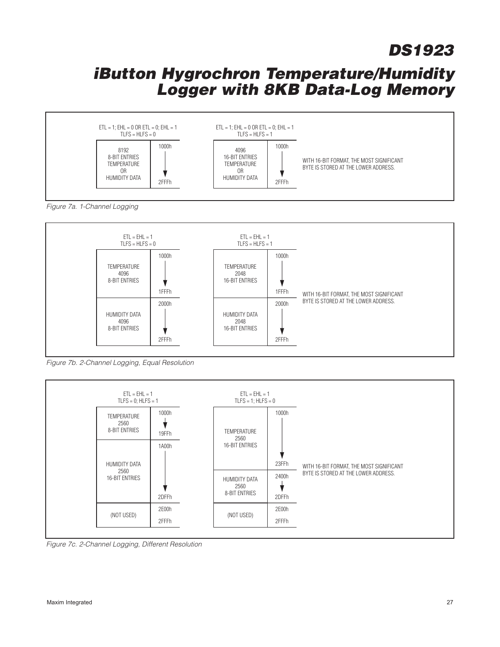

Figure 7a. 1-Channel Logging



Figure 7b. 2-Channel Logging, Equal Resolution



Figure 7c. 2-Channel Logging, Different Resolution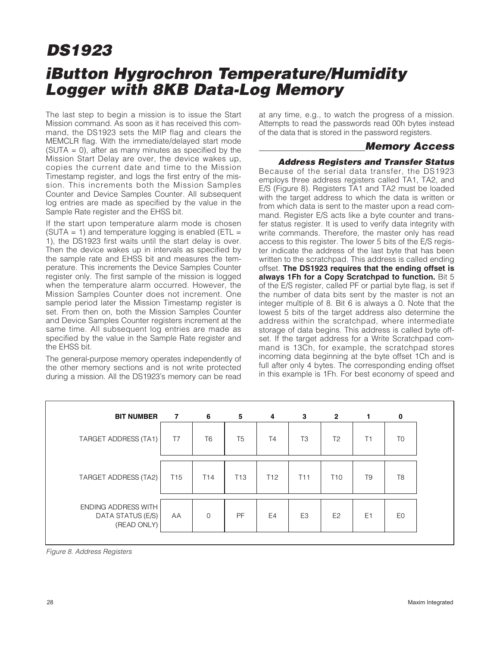## **iButton Hygrochron Temperature/Humidity Logger with 8KB Data-Log Memory DS1923**

The last step to begin a mission is to issue the Start Mission command. As soon as it has received this command, the DS1923 sets the MIP flag and clears the MEMCLR flag. With the immediate/delayed start mode  $(SUTA = 0)$ , after as many minutes as specified by the Mission Start Delay are over, the device wakes up, copies the current date and time to the Mission Timestamp register, and logs the first entry of the mission. This increments both the Mission Samples Counter and Device Samples Counter. All subsequent log entries are made as specified by the value in the Sample Rate register and the EHSS bit.

If the start upon temperature alarm mode is chosen (SUTA = 1) and temperature logging is enabled ( $ETL =$ 1), the DS1923 first waits until the start delay is over. Then the device wakes up in intervals as specified by the sample rate and EHSS bit and measures the temperature. This increments the Device Samples Counter register only. The first sample of the mission is logged when the temperature alarm occurred. However, the Mission Samples Counter does not increment. One sample period later the Mission Timestamp register is set. From then on, both the Mission Samples Counter and Device Samples Counter registers increment at the same time. All subsequent log entries are made as specified by the value in the Sample Rate register and the EHSS bit.

The general-purpose memory operates independently of the other memory sections and is not write protected during a mission. All the DS1923's memory can be read at any time, e.g., to watch the progress of a mission. Attempts to read the passwords read 00h bytes instead of the data that is stored in the password registers.

### **Memory Access**

### **Address Registers and Transfer Status**

Because of the serial data transfer, the DS1923 employs three address registers called TA1, TA2, and E/S (Figure 8). Registers TA1 and TA2 must be loaded with the target address to which the data is written or from which data is sent to the master upon a read command. Register E/S acts like a byte counter and transfer status register. It is used to verify data integrity with write commands. Therefore, the master only has read access to this register. The lower 5 bits of the E/S register indicate the address of the last byte that has been written to the scratchpad. This address is called ending offset. **The DS1923 requires that the ending offset is always 1Fh for a Copy Scratchpad to function.** Bit 5 of the E/S register, called PF or partial byte flag, is set if the number of data bits sent by the master is not an integer multiple of 8. Bit 6 is always a 0. Note that the lowest 5 bits of the target address also determine the address within the scratchpad, where intermediate storage of data begins. This address is called byte offset. If the target address for a Write Scratchpad command is 13Ch, for example, the scratchpad stores incoming data beginning at the byte offset 1Ch and is full after only 4 bytes. The corresponding ending offset in this example is 1Fh. For best economy of speed and

| <b>BIT NUMBER</b>                                       | $\overline{7}$  | 6               | 5               | 4               | 3               | $\overline{2}$  | 1              | 0              |
|---------------------------------------------------------|-----------------|-----------------|-----------------|-----------------|-----------------|-----------------|----------------|----------------|
| TARGET ADDRESS (TA1)                                    | T7              | T <sub>6</sub>  | T <sub>5</sub>  | T4              | T <sub>3</sub>  | T <sub>2</sub>  | T1             | T <sub>0</sub> |
| TARGET ADDRESS (TA2)                                    | T <sub>15</sub> | T <sub>14</sub> | T <sub>13</sub> | T <sub>12</sub> | T <sub>11</sub> | T <sub>10</sub> | T <sub>9</sub> | T <sub>8</sub> |
| ENDING ADDRESS WITH<br>DATA STATUS (E/S)<br>(READ ONLY) | AA              | $\mathbf 0$     | PF              | E <sub>4</sub>  | E3              | E <sub>2</sub>  | E <sub>1</sub> | E <sub>0</sub> |

Figure 8. Address Registers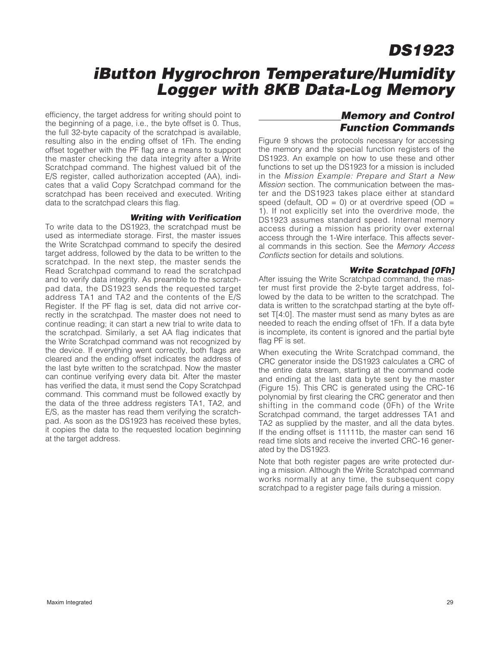### **iButton Hygrochron Temperature/Humidity Logger with 8KB Data-Log Memory**

efficiency, the target address for writing should point to the beginning of a page, i.e., the byte offset is 0. Thus, the full 32-byte capacity of the scratchpad is available, resulting also in the ending offset of 1Fh. The ending offset together with the PF flag are a means to support the master checking the data integrity after a Write Scratchpad command. The highest valued bit of the E/S register, called authorization accepted (AA), indicates that a valid Copy Scratchpad command for the scratchpad has been received and executed. Writing data to the scratchpad clears this flag.

#### **Writing with Verification**

To write data to the DS1923, the scratchpad must be used as intermediate storage. First, the master issues the Write Scratchpad command to specify the desired target address, followed by the data to be written to the scratchpad. In the next step, the master sends the Read Scratchpad command to read the scratchpad and to verify data integrity. As preamble to the scratchpad data, the DS1923 sends the requested target address TA1 and TA2 and the contents of the E/S Register. If the PF flag is set, data did not arrive correctly in the scratchpad. The master does not need to continue reading; it can start a new trial to write data to the scratchpad. Similarly, a set AA flag indicates that the Write Scratchpad command was not recognized by the device. If everything went correctly, both flags are cleared and the ending offset indicates the address of the last byte written to the scratchpad. Now the master can continue verifying every data bit. After the master has verified the data, it must send the Copy Scratchpad command. This command must be followed exactly by the data of the three address registers TA1, TA2, and E/S, as the master has read them verifying the scratchpad. As soon as the DS1923 has received these bytes, it copies the data to the requested location beginning at the target address.

### **Memory and Control Function Commands**

Figure 9 shows the protocols necessary for accessing the memory and the special function registers of the DS1923. An example on how to use these and other functions to set up the DS1923 for a mission is included in the Mission Example: Prepare and Start a New Mission section. The communication between the master and the DS1923 takes place either at standard speed (default,  $OD = 0$ ) or at overdrive speed ( $OD = 0$ 1). If not explicitly set into the overdrive mode, the DS1923 assumes standard speed. Internal memory access during a mission has priority over external access through the 1-Wire interface. This affects several commands in this section. See the Memory Access Conflicts section for details and solutions.

#### **Write Scratchpad [0Fh]**

After issuing the Write Scratchpad command, the master must first provide the 2-byte target address, followed by the data to be written to the scratchpad. The data is written to the scratchpad starting at the byte offset T[4:0]. The master must send as many bytes as are needed to reach the ending offset of 1Fh. If a data byte is incomplete, its content is ignored and the partial byte flag PF is set.

When executing the Write Scratchpad command, the CRC generator inside the DS1923 calculates a CRC of the entire data stream, starting at the command code and ending at the last data byte sent by the master (Figure 15). This CRC is generated using the CRC-16 polynomial by first clearing the CRC generator and then shifting in the command code (0Fh) of the Write Scratchpad command, the target addresses TA1 and TA2 as supplied by the master, and all the data bytes. If the ending offset is 11111b, the master can send 16 read time slots and receive the inverted CRC-16 generated by the DS1923.

Note that both register pages are write protected during a mission. Although the Write Scratchpad command works normally at any time, the subsequent copy scratchpad to a register page fails during a mission.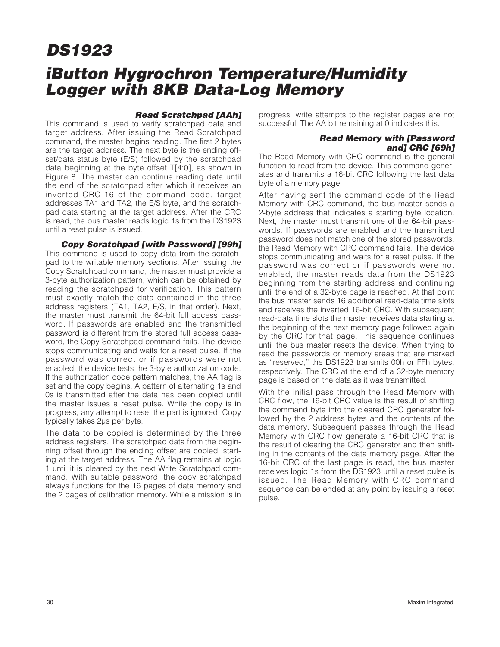## **iButton Hygrochron Temperature/Humidity Logger with 8KB Data-Log Memory**

#### **Read Scratchpad [AAh]**

This command is used to verify scratchpad data and target address. After issuing the Read Scratchpad command, the master begins reading. The first 2 bytes are the target address. The next byte is the ending offset/data status byte (E/S) followed by the scratchpad data beginning at the byte offset T[4:0], as shown in Figure 8. The master can continue reading data until the end of the scratchpad after which it receives an inverted CRC-16 of the command code, target addresses TA1 and TA2, the E/S byte, and the scratchpad data starting at the target address. After the CRC is read, the bus master reads logic 1s from the DS1923 until a reset pulse is issued.

**Copy Scratchpad [with Password] [99h]** This command is used to copy data from the scratchpad to the writable memory sections. After issuing the Copy Scratchpad command, the master must provide a 3-byte authorization pattern, which can be obtained by reading the scratchpad for verification. This pattern must exactly match the data contained in the three address registers (TA1, TA2, E/S, in that order). Next, the master must transmit the 64-bit full access password. If passwords are enabled and the transmitted password is different from the stored full access password, the Copy Scratchpad command fails. The device stops communicating and waits for a reset pulse. If the password was correct or if passwords were not enabled, the device tests the 3-byte authorization code. If the authorization code pattern matches, the AA flag is set and the copy begins. A pattern of alternating 1s and 0s is transmitted after the data has been copied until the master issues a reset pulse. While the copy is in progress, any attempt to reset the part is ignored. Copy typically takes 2μs per byte.

The data to be copied is determined by the three address registers. The scratchpad data from the beginning offset through the ending offset are copied, starting at the target address. The AA flag remains at logic 1 until it is cleared by the next Write Scratchpad command. With suitable password, the copy scratchpad always functions for the 16 pages of data memory and the 2 pages of calibration memory. While a mission is in progress, write attempts to the register pages are not successful. The AA bit remaining at 0 indicates this.

#### **Read Memory with [Password and] CRC [69h]**

The Read Memory with CRC command is the general function to read from the device. This command generates and transmits a 16-bit CRC following the last data byte of a memory page.

After having sent the command code of the Read Memory with CRC command, the bus master sends a 2-byte address that indicates a starting byte location. Next, the master must transmit one of the 64-bit passwords. If passwords are enabled and the transmitted password does not match one of the stored passwords, the Read Memory with CRC command fails. The device stops communicating and waits for a reset pulse. If the password was correct or if passwords were not enabled, the master reads data from the DS1923 beginning from the starting address and continuing until the end of a 32-byte page is reached. At that point the bus master sends 16 additional read-data time slots and receives the inverted 16-bit CRC. With subsequent read-data time slots the master receives data starting at the beginning of the next memory page followed again by the CRC for that page. This sequence continues until the bus master resets the device. When trying to read the passwords or memory areas that are marked as "reserved," the DS1923 transmits 00h or FFh bytes, respectively. The CRC at the end of a 32-byte memory page is based on the data as it was transmitted.

With the initial pass through the Read Memory with CRC flow, the 16-bit CRC value is the result of shifting the command byte into the cleared CRC generator followed by the 2 address bytes and the contents of the data memory. Subsequent passes through the Read Memory with CRC flow generate a 16-bit CRC that is the result of clearing the CRC generator and then shifting in the contents of the data memory page. After the 16-bit CRC of the last page is read, the bus master receives logic 1s from the DS1923 until a reset pulse is issued. The Read Memory with CRC command sequence can be ended at any point by issuing a reset pulse.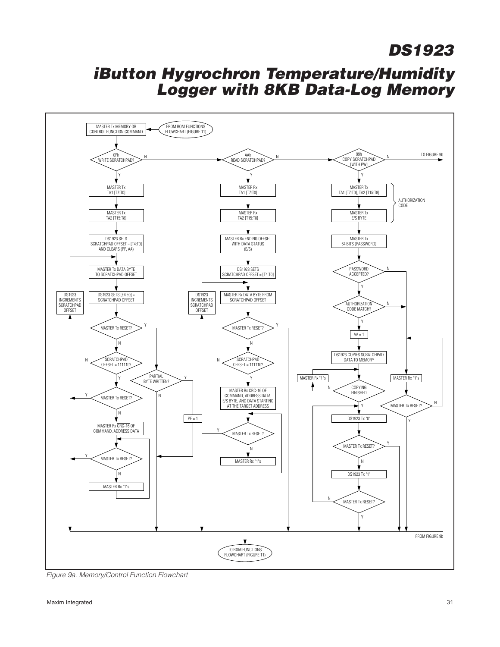

Figure 9a. Memory/Control Function Flowchart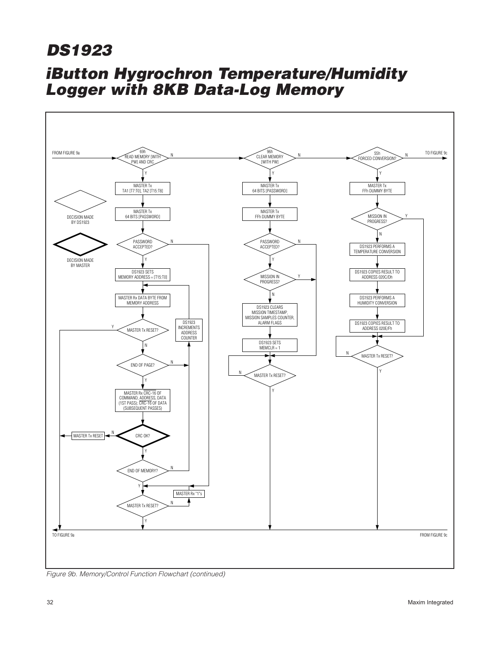

Figure 9b. Memory/Control Function Flowchart (continued)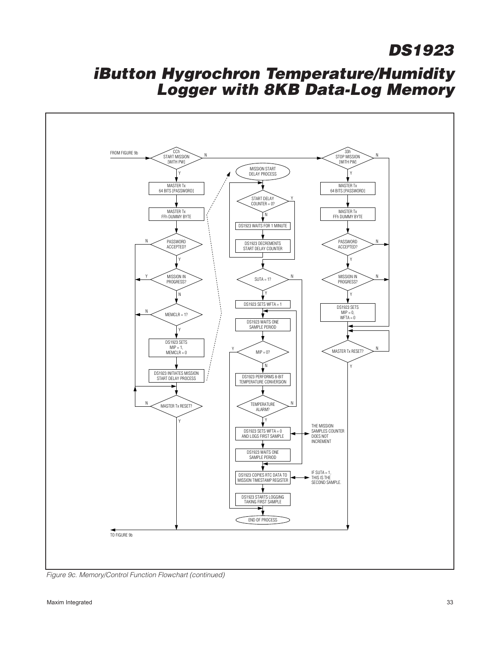

Figure 9c. Memory/Control Function Flowchart (continued)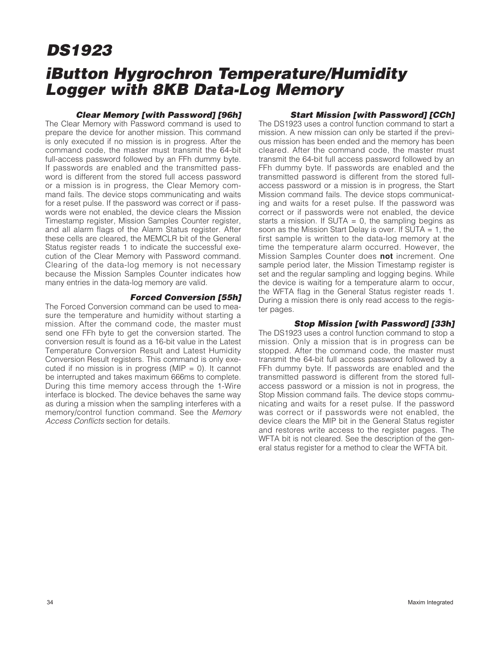### **iButton Hygrochron Temperature/Humidity Logger with 8KB Data-Log Memory**

#### **Clear Memory [with Password] [96h]**

The Clear Memory with Password command is used to prepare the device for another mission. This command is only executed if no mission is in progress. After the command code, the master must transmit the 64-bit full-access password followed by an FFh dummy byte. If passwords are enabled and the transmitted password is different from the stored full access password or a mission is in progress, the Clear Memory command fails. The device stops communicating and waits for a reset pulse. If the password was correct or if passwords were not enabled, the device clears the Mission Timestamp register, Mission Samples Counter register, and all alarm flags of the Alarm Status register. After these cells are cleared, the MEMCLR bit of the General Status register reads 1 to indicate the successful execution of the Clear Memory with Password command. Clearing of the data-log memory is not necessary because the Mission Samples Counter indicates how many entries in the data-log memory are valid.

#### **Forced Conversion [55h]**

The Forced Conversion command can be used to measure the temperature and humidity without starting a mission. After the command code, the master must send one FFh byte to get the conversion started. The conversion result is found as a 16-bit value in the Latest Temperature Conversion Result and Latest Humidity Conversion Result registers. This command is only executed if no mission is in progress (MIP  $= 0$ ). It cannot be interrupted and takes maximum 666ms to complete. During this time memory access through the 1-Wire interface is blocked. The device behaves the same way as during a mission when the sampling interferes with a memory/control function command. See the Memory Access Conflicts section for details.

#### **Start Mission [with Password] [CCh]**

The DS1923 uses a control function command to start a mission. A new mission can only be started if the previous mission has been ended and the memory has been cleared. After the command code, the master must transmit the 64-bit full access password followed by an FFh dummy byte. If passwords are enabled and the transmitted password is different from the stored fullaccess password or a mission is in progress, the Start Mission command fails. The device stops communicating and waits for a reset pulse. If the password was correct or if passwords were not enabled, the device starts a mission. If SUTA  $= 0$ , the sampling begins as soon as the Mission Start Delay is over. If SUTA = 1, the first sample is written to the data-log memory at the time the temperature alarm occurred. However, the Mission Samples Counter does **not** increment. One sample period later, the Mission Timestamp register is set and the regular sampling and logging begins. While the device is waiting for a temperature alarm to occur, the WFTA flag in the General Status register reads 1. During a mission there is only read access to the register pages.

#### **Stop Mission [with Password] [33h]**

The DS1923 uses a control function command to stop a mission. Only a mission that is in progress can be stopped. After the command code, the master must transmit the 64-bit full access password followed by a FFh dummy byte. If passwords are enabled and the transmitted password is different from the stored fullaccess password or a mission is not in progress, the Stop Mission command fails. The device stops communicating and waits for a reset pulse. If the password was correct or if passwords were not enabled, the device clears the MIP bit in the General Status register and restores write access to the register pages. The WFTA bit is not cleared. See the description of the general status register for a method to clear the WFTA bit.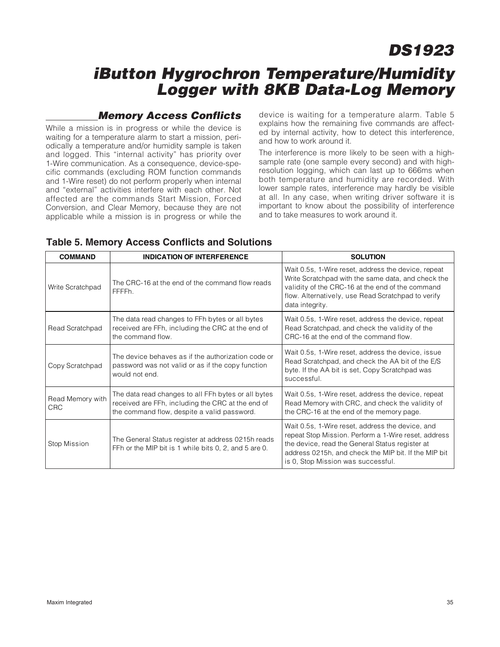### **iButton Hygrochron Temperature/Humidity Logger with 8KB Data-Log Memory**

### **Memory Access Conflicts**

While a mission is in progress or while the device is waiting for a temperature alarm to start a mission, periodically a temperature and/or humidity sample is taken and logged. This "internal activity" has priority over 1-Wire communication. As a consequence, device-specific commands (excluding ROM function commands and 1-Wire reset) do not perform properly when internal and "external" activities interfere with each other. Not affected are the commands Start Mission, Forced Conversion, and Clear Memory, because they are not applicable while a mission is in progress or while the device is waiting for a temperature alarm. Table 5 explains how the remaining five commands are affected by internal activity, how to detect this interference, and how to work around it.

The interference is more likely to be seen with a highsample rate (one sample every second) and with highresolution logging, which can last up to 666ms when both temperature and humidity are recorded. With lower sample rates, interference may hardly be visible at all. In any case, when writing driver software it is important to know about the possibility of interference and to take measures to work around it.

| <b>COMMAND</b>                 | <b>INDICATION OF INTERFERENCE</b>                                                                                                                       | <b>SOLUTION</b>                                                                                                                                                                                                                                           |
|--------------------------------|---------------------------------------------------------------------------------------------------------------------------------------------------------|-----------------------------------------------------------------------------------------------------------------------------------------------------------------------------------------------------------------------------------------------------------|
| Write Scratchpad               | The CRC-16 at the end of the command flow reads<br>FFFFFh.                                                                                              | Wait 0.5s, 1-Wire reset, address the device, repeat<br>Write Scratchpad with the same data, and check the<br>validity of the CRC-16 at the end of the command<br>flow. Alternatively, use Read Scratchpad to verify<br>data integrity.                    |
| Read Scratchpad                | The data read changes to FFh bytes or all bytes<br>received are FFh, including the CRC at the end of<br>the command flow.                               | Wait 0.5s, 1-Wire reset, address the device, repeat<br>Read Scratchpad, and check the validity of the<br>CRC-16 at the end of the command flow.                                                                                                           |
| Copy Scratchpad                | The device behaves as if the authorization code or<br>password was not valid or as if the copy function<br>would not end.                               | Wait 0.5s, 1-Wire reset, address the device, issue<br>Read Scratchpad, and check the AA bit of the E/S<br>byte. If the AA bit is set, Copy Scratchpad was<br>successful.                                                                                  |
| Read Memory with<br><b>CRC</b> | The data read changes to all FFh bytes or all bytes<br>received are FFh, including the CRC at the end of<br>the command flow, despite a valid password. | Wait 0.5s, 1-Wire reset, address the device, repeat<br>Read Memory with CRC, and check the validity of<br>the CRC-16 at the end of the memory page.                                                                                                       |
| Stop Mission                   | The General Status register at address 0215h reads<br>FFh or the MIP bit is 1 while bits 0, 2, and 5 are 0.                                             | Wait 0.5s, 1-Wire reset, address the device, and<br>repeat Stop Mission. Perform a 1-Wire reset, address<br>the device, read the General Status register at<br>address 0215h, and check the MIP bit. If the MIP bit<br>is 0, Stop Mission was successful. |

### **Table 5. Memory Access Conflicts and Solutions**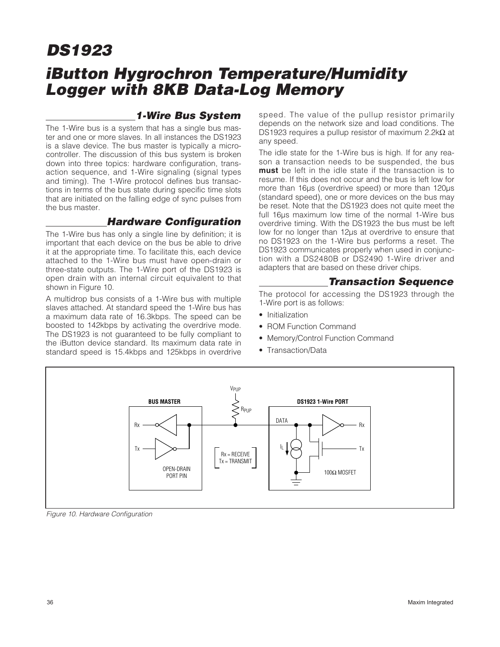## **iButton Hygrochron Temperature/Humidity Logger with 8KB Data-Log Memory**

### **1-Wire Bus System**

The 1-Wire bus is a system that has a single bus master and one or more slaves. In all instances the DS1923 is a slave device. The bus master is typically a microcontroller. The discussion of this bus system is broken down into three topics: hardware configuration, transaction sequence, and 1-Wire signaling (signal types and timing). The 1-Wire protocol defines bus transactions in terms of the bus state during specific time slots that are initiated on the falling edge of sync pulses from the bus master.

### **Hardware Configuration**

The 1-Wire bus has only a single line by definition; it is important that each device on the bus be able to drive it at the appropriate time. To facilitate this, each device attached to the 1-Wire bus must have open-drain or three-state outputs. The 1-Wire port of the DS1923 is open drain with an internal circuit equivalent to that shown in Figure 10.

A multidrop bus consists of a 1-Wire bus with multiple slaves attached. At standard speed the 1-Wire bus has a maximum data rate of 16.3kbps. The speed can be boosted to 142kbps by activating the overdrive mode. The DS1923 is not guaranteed to be fully compliant to the iButton device standard. Its maximum data rate in standard speed is 15.4kbps and 125kbps in overdrive

speed. The value of the pullup resistor primarily depends on the network size and load conditions. The DS1923 requires a pullup resistor of maximum 2.2kΩ at any speed.

The idle state for the 1-Wire bus is high. If for any reason a transaction needs to be suspended, the bus **must** be left in the idle state if the transaction is to resume. If this does not occur and the bus is left low for more than 16μs (overdrive speed) or more than 120μs (standard speed), one or more devices on the bus may be reset. Note that the DS1923 does not quite meet the full 16μs maximum low time of the normal 1-Wire bus overdrive timing. With the DS1923 the bus must be left low for no longer than 12μs at overdrive to ensure that no DS1923 on the 1-Wire bus performs a reset. The DS1923 communicates properly when used in conjunction with a DS2480B or DS2490 1-Wire driver and adapters that are based on these driver chips.

### **Transaction Sequence**

The protocol for accessing the DS1923 through the 1-Wire port is as follows:

- Initialization
- ROM Function Command
- Memory/Control Function Command
- Transaction/Data



Figure 10. Hardware Configuration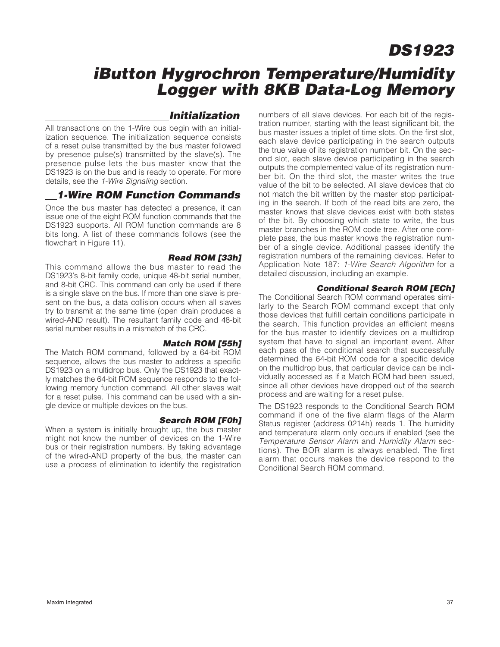### **iButton Hygrochron Temperature/Humidity Logger with 8KB Data-Log Memory**

### **Initialization**

All transactions on the 1-Wire bus begin with an initialization sequence. The initialization sequence consists of a reset pulse transmitted by the bus master followed by presence pulse(s) transmitted by the slave(s). The presence pulse lets the bus master know that the DS1923 is on the bus and is ready to operate. For more details, see the 1-Wire Signaling section.

### **1-Wire ROM Function Commands**

Once the bus master has detected a presence, it can issue one of the eight ROM function commands that the DS1923 supports. All ROM function commands are 8 bits long. A list of these commands follows (see the flowchart in Figure 11).

#### **Read ROM [33h]**

This command allows the bus master to read the DS1923's 8-bit family code, unique 48-bit serial number, and 8-bit CRC. This command can only be used if there is a single slave on the bus. If more than one slave is present on the bus, a data collision occurs when all slaves try to transmit at the same time (open drain produces a wired-AND result). The resultant family code and 48-bit serial number results in a mismatch of the CRC.

#### **Match ROM [55h]**

The Match ROM command, followed by a 64-bit ROM sequence, allows the bus master to address a specific DS1923 on a multidrop bus. Only the DS1923 that exactly matches the 64-bit ROM sequence responds to the following memory function command. All other slaves wait for a reset pulse. This command can be used with a single device or multiple devices on the bus.

#### **Search ROM [F0h]**

When a system is initially brought up, the bus master might not know the number of devices on the 1-Wire bus or their registration numbers. By taking advantage of the wired-AND property of the bus, the master can use a process of elimination to identify the registration numbers of all slave devices. For each bit of the registration number, starting with the least significant bit, the bus master issues a triplet of time slots. On the first slot, each slave device participating in the search outputs the true value of its registration number bit. On the second slot, each slave device participating in the search outputs the complemented value of its registration number bit. On the third slot, the master writes the true value of the bit to be selected. All slave devices that do not match the bit written by the master stop participating in the search. If both of the read bits are zero, the master knows that slave devices exist with both states of the bit. By choosing which state to write, the bus master branches in the ROM code tree. After one complete pass, the bus master knows the registration number of a single device. Additional passes identify the registration numbers of the remaining devices. Refer to Application Note 187: 1-Wire Search Algorithm for a detailed discussion, including an example.

#### **Conditional Search ROM [ECh]**

The Conditional Search ROM command operates similarly to the Search ROM command except that only those devices that fulfill certain conditions participate in the search. This function provides an efficient means for the bus master to identify devices on a multidrop system that have to signal an important event. After each pass of the conditional search that successfully determined the 64-bit ROM code for a specific device on the multidrop bus, that particular device can be individually accessed as if a Match ROM had been issued, since all other devices have dropped out of the search process and are waiting for a reset pulse.

The DS1923 responds to the Conditional Search ROM command if one of the five alarm flags of the Alarm Status register (address 0214h) reads 1. The humidity and temperature alarm only occurs if enabled (see the Temperature Sensor Alarm and Humidity Alarm sections). The BOR alarm is always enabled. The first alarm that occurs makes the device respond to the Conditional Search ROM command.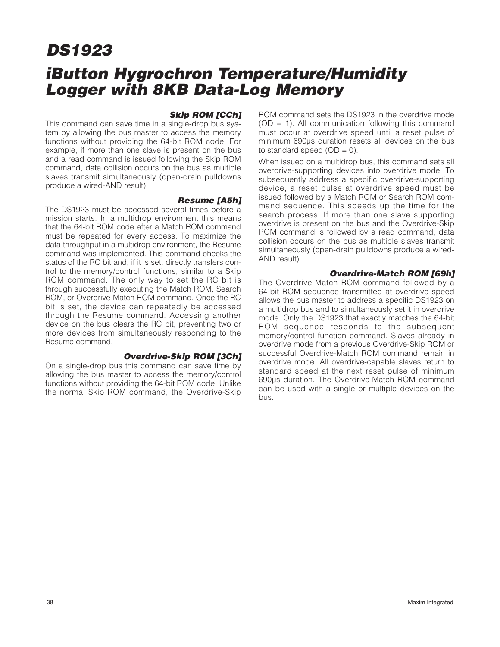## **iButton Hygrochron Temperature/Humidity Logger with 8KB Data-Log Memory**

#### **Skip ROM [CCh]**

This command can save time in a single-drop bus system by allowing the bus master to access the memory functions without providing the 64-bit ROM code. For example, if more than one slave is present on the bus and a read command is issued following the Skip ROM command, data collision occurs on the bus as multiple slaves transmit simultaneously (open-drain pulldowns produce a wired-AND result).

#### **Resume [A5h]**

The DS1923 must be accessed several times before a mission starts. In a multidrop environment this means that the 64-bit ROM code after a Match ROM command must be repeated for every access. To maximize the data throughput in a multidrop environment, the Resume command was implemented. This command checks the status of the RC bit and, if it is set, directly transfers control to the memory/control functions, similar to a Skip ROM command. The only way to set the RC bit is through successfully executing the Match ROM, Search ROM, or Overdrive-Match ROM command. Once the RC bit is set, the device can repeatedly be accessed through the Resume command. Accessing another device on the bus clears the RC bit, preventing two or more devices from simultaneously responding to the Resume command.

#### **Overdrive-Skip ROM [3Ch]**

On a single-drop bus this command can save time by allowing the bus master to access the memory/control functions without providing the 64-bit ROM code. Unlike the normal Skip ROM command, the Overdrive-Skip

ROM command sets the DS1923 in the overdrive mode  $(OD = 1)$ . All communication following this command must occur at overdrive speed until a reset pulse of minimum 690μs duration resets all devices on the bus to standard speed  $(OD = 0)$ .

When issued on a multidrop bus, this command sets all overdrive-supporting devices into overdrive mode. To subsequently address a specific overdrive-supporting device, a reset pulse at overdrive speed must be issued followed by a Match ROM or Search ROM command sequence. This speeds up the time for the search process. If more than one slave supporting overdrive is present on the bus and the Overdrive-Skip ROM command is followed by a read command, data collision occurs on the bus as multiple slaves transmit simultaneously (open-drain pulldowns produce a wired-AND result).

#### **Overdrive-Match ROM [69h]**

The Overdrive-Match ROM command followed by a 64-bit ROM sequence transmitted at overdrive speed allows the bus master to address a specific DS1923 on a multidrop bus and to simultaneously set it in overdrive mode. Only the DS1923 that exactly matches the 64-bit ROM sequence responds to the subsequent memory/control function command. Slaves already in overdrive mode from a previous Overdrive-Skip ROM or successful Overdrive-Match ROM command remain in overdrive mode. All overdrive-capable slaves return to standard speed at the next reset pulse of minimum 690μs duration. The Overdrive-Match ROM command can be used with a single or multiple devices on the bus.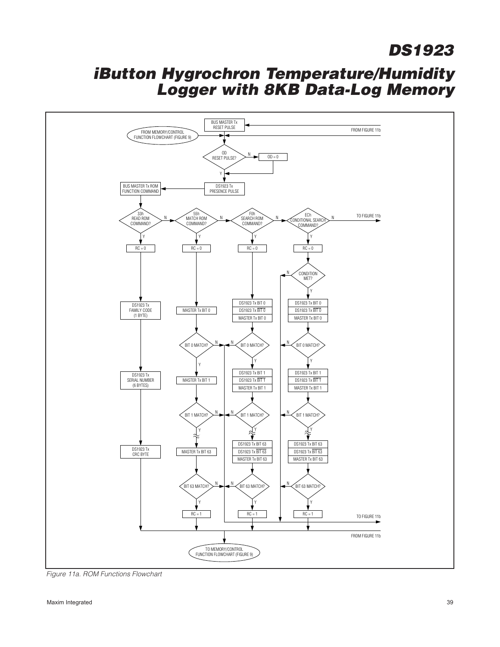

Figure 11a. ROM Functions Flowchart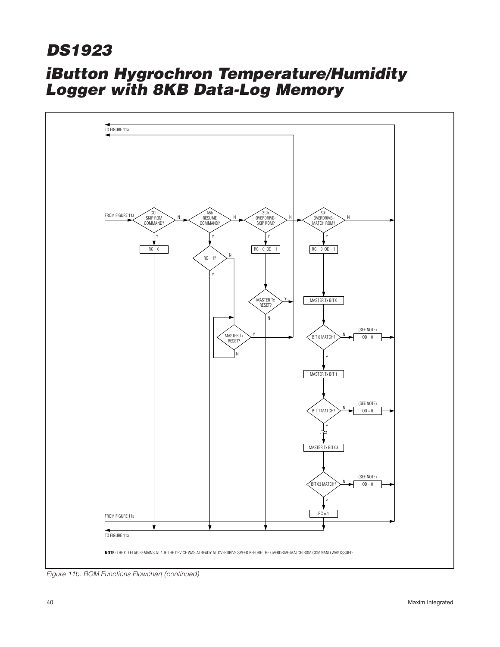

Figure 11b. ROM Functions Flowchart (continued)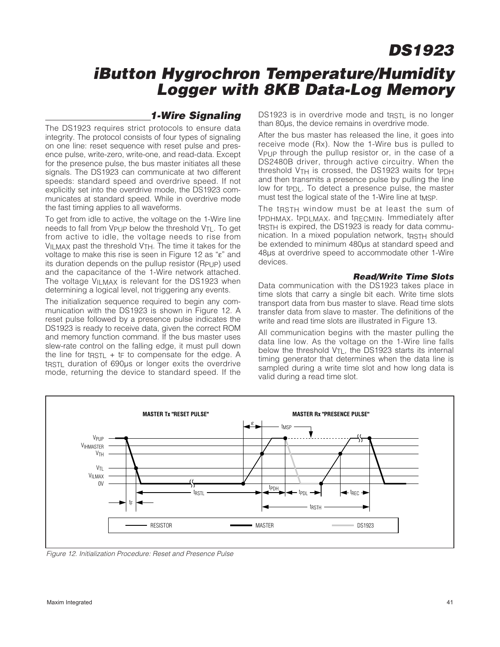### **iButton Hygrochron Temperature/Humidity Logger with 8KB Data-Log Memory**

### **1-Wire Signaling**

The DS1923 requires strict protocols to ensure data integrity. The protocol consists of four types of signaling on one line: reset sequence with reset pulse and presence pulse, write-zero, write-one, and read-data. Except for the presence pulse, the bus master initiates all these signals. The DS1923 can communicate at two different speeds: standard speed and overdrive speed. If not explicitly set into the overdrive mode, the DS1923 communicates at standard speed. While in overdrive mode the fast timing applies to all waveforms.

To get from idle to active, the voltage on the 1-Wire line needs to fall from V<sub>PUP</sub> below the threshold V<sub>TL</sub>. To get from active to idle, the voltage needs to rise from  $V_{\text{ILMAX}}$  past the threshold  $V_{\text{TH}}$ . The time it takes for the voltage to make this rise is seen in Figure 12 as "ε" and its duration depends on the pullup resistor (RPUP) used and the capacitance of the 1-Wire network attached. The voltage VILMAX is relevant for the DS1923 when determining a logical level, not triggering any events.

The initialization sequence required to begin any communication with the DS1923 is shown in Figure 12. A reset pulse followed by a presence pulse indicates the DS1923 is ready to receive data, given the correct ROM and memory function command. If the bus master uses slew-rate control on the falling edge, it must pull down the line for t $RSTL + IF$  to compensate for the edge. A t<sub>RSTL</sub> duration of 690μs or longer exits the overdrive mode, returning the device to standard speed. If the DS1923 is in overdrive mode and track is no longer than 80μs, the device remains in overdrive mode.

After the bus master has released the line, it goes into receive mode (Rx). Now the 1-Wire bus is pulled to VPUP through the pullup resistor or, in the case of a DS2480B driver, through active circuitry. When the threshold V<sub>TH</sub> is crossed, the DS1923 waits for tPDH and then transmits a presence pulse by pulling the line low for tp<sub>DL</sub>. To detect a presence pulse, the master must test the logical state of the 1-Wire line at t<sub>MSP</sub>.

The t<sub>RSTH</sub> window must be at least the sum of tPDHMAX, tPDLMAX, and tRECMIN. Immediately after t<sub>RSTH</sub> is expired, the DS1923 is ready for data communication. In a mixed population network, trast a should be extended to minimum 480us at standard speed and 48μs at overdrive speed to accommodate other 1-Wire devices.

#### **Read/Write Time Slots**

Data communication with the DS1923 takes place in time slots that carry a single bit each. Write time slots transport data from bus master to slave. Read time slots transfer data from slave to master. The definitions of the write and read time slots are illustrated in Figure 13.

All communication begins with the master pulling the data line low. As the voltage on the 1-Wire line falls below the threshold  $V_{TL}$ , the DS1923 starts its internal timing generator that determines when the data line is sampled during a write time slot and how long data is valid during a read time slot.



Figure 12. Initialization Procedure: Reset and Presence Pulse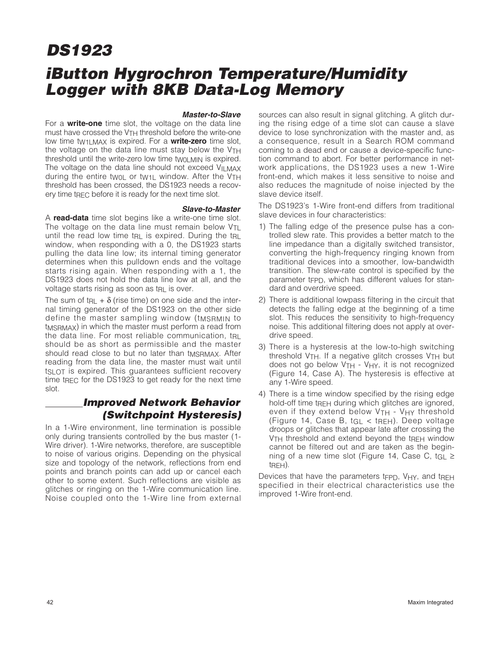## **iButton Hygrochron Temperature/Humidity Logger with 8KB Data-Log Memory**

#### **Master-to-Slave**

For a **write-one** time slot, the voltage on the data line must have crossed the V<sub>TH</sub> threshold before the write-one low time tW1LMAX is expired. For a **write-zero** time slot, the voltage on the data line must stay below the  $V<sub>TH</sub>$ threshold until the write-zero low time two LMIN is expired. The voltage on the data line should not exceed VILMAX during the entire twol or tw<sub>1</sub> window. After the  $VTH$ threshold has been crossed, the DS1923 needs a recovery time t $_{\text{RFC}}$  before it is ready for the next time slot.

#### **Slave-to-Master**

A **read-data** time slot begins like a write-one time slot. The voltage on the data line must remain below  $V_{\text{TI}}$ until the read low time t<sub>RL</sub> is expired. During the t<sub>RL</sub> window, when responding with a 0, the DS1923 starts pulling the data line low; its internal timing generator determines when this pulldown ends and the voltage starts rising again. When responding with a 1, the DS1923 does not hold the data line low at all, and the voltage starts rising as soon as tRL is over.

The sum of  $tr<sub>RL</sub> + \delta$  (rise time) on one side and the internal timing generator of the DS1923 on the other side define the master sampling window (tMSRMIN to tMSRMAX) in which the master must perform a read from the data line. For most reliable communication, t<sub>RI</sub> should be as short as permissible and the master should read close to but no later than tMSRMAX. After reading from the data line, the master must wait until ts ot is expired. This quarantees sufficient recovery time t<sub>RFC</sub> for the DS1923 to get ready for the next time slot.

### **Improved Network Behavior (Switchpoint Hysteresis)**

In a 1-Wire environment, line termination is possible only during transients controlled by the bus master (1- Wire driver). 1-Wire networks, therefore, are susceptible to noise of various origins. Depending on the physical size and topology of the network, reflections from end points and branch points can add up or cancel each other to some extent. Such reflections are visible as glitches or ringing on the 1-Wire communication line. Noise coupled onto the 1-Wire line from external sources can also result in signal glitching. A glitch during the rising edge of a time slot can cause a slave device to lose synchronization with the master and, as a consequence, result in a Search ROM command coming to a dead end or cause a device-specific function command to abort. For better performance in network applications, the DS1923 uses a new 1-Wire front-end, which makes it less sensitive to noise and also reduces the magnitude of noise injected by the slave device itself.

The DS1923's 1-Wire front-end differs from traditional slave devices in four characteristics:

- 1) The falling edge of the presence pulse has a controlled slew rate. This provides a better match to the line impedance than a digitally switched transistor, converting the high-frequency ringing known from traditional devices into a smoother, low-bandwidth transition. The slew-rate control is specified by the parameter t<sub>FPD</sub>, which has different values for standard and overdrive speed.
- 2) There is additional lowpass filtering in the circuit that detects the falling edge at the beginning of a time slot. This reduces the sensitivity to high-frequency noise. This additional filtering does not apply at overdrive speed.
- 3) There is a hysteresis at the low-to-high switching threshold  $V_{TH}$ . If a negative glitch crosses  $V_{TH}$  but does not go below V<sub>TH</sub> - V<sub>HY</sub>, it is not recognized (Figure 14, Case A). The hysteresis is effective at any 1-Wire speed.
- 4) There is a time window specified by the rising edge hold-off time tree during which glitches are ignored, even if they extend below  $VTH - VHY$  threshold (Figure 14, Case B, tGL < tREH). Deep voltage droops or glitches that appear late after crossing the VTH threshold and extend beyond the tREH window cannot be filtered out and are taken as the beginning of a new time slot (Figure 14, Case C, tGL  $\ge$ tREH).

Devices that have the parameters tFPD, VHY, and tREH specified in their electrical characteristics use the improved 1-Wire front-end.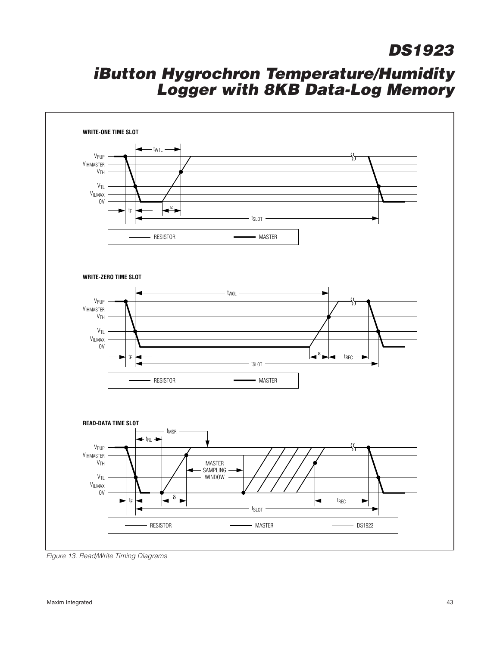

Figure 13. Read/Write Timing Diagrams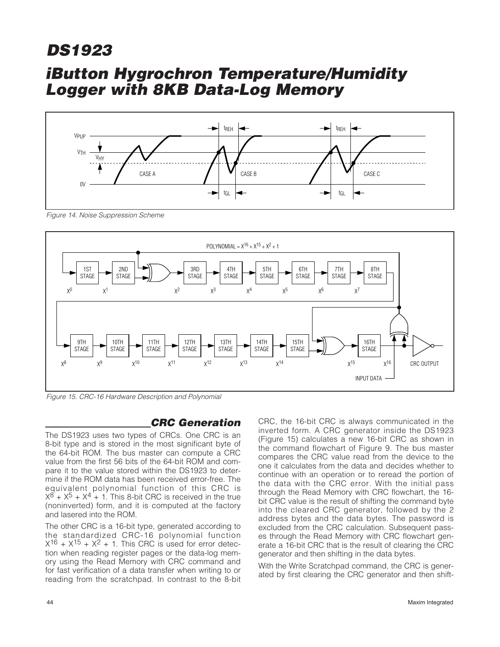### **iButton Hygrochron Temperature/Humidity Logger with 8KB Data-Log Memory**



Figure 14. Noise Suppression Scheme



Figure 15. CRC-16 Hardware Description and Polynomial

### **CRC Generation**

The DS1923 uses two types of CRCs. One CRC is an 8-bit type and is stored in the most significant byte of the 64-bit ROM. The bus master can compute a CRC value from the first 56 bits of the 64-bit ROM and compare it to the value stored within the DS1923 to determine if the ROM data has been received error-free. The equivalent polynomial function of this CRC is  $X^8 + X^5 + X^4 + 1$ . This 8-bit CRC is received in the true (noninverted) form, and it is computed at the factory and lasered into the ROM.

The other CRC is a 16-bit type, generated according to the standardized CRC-16 polynomial function  $X^{16}$  +  $X^{15}$  +  $X^2$  + 1. This CRC is used for error detection when reading register pages or the data-log memory using the Read Memory with CRC command and for fast verification of a data transfer when writing to or reading from the scratchpad. In contrast to the 8-bit CRC, the 16-bit CRC is always communicated in the inverted form. A CRC generator inside the DS1923 (Figure 15) calculates a new 16-bit CRC as shown in the command flowchart of Figure 9. The bus master compares the CRC value read from the device to the one it calculates from the data and decides whether to continue with an operation or to reread the portion of the data with the CRC error. With the initial pass through the Read Memory with CRC flowchart, the 16 bit CRC value is the result of shifting the command byte into the cleared CRC generator, followed by the 2 address bytes and the data bytes. The password is excluded from the CRC calculation. Subsequent passes through the Read Memory with CRC flowchart generate a 16-bit CRC that is the result of clearing the CRC generator and then shifting in the data bytes.

With the Write Scratchpad command, the CRC is generated by first clearing the CRC generator and then shift-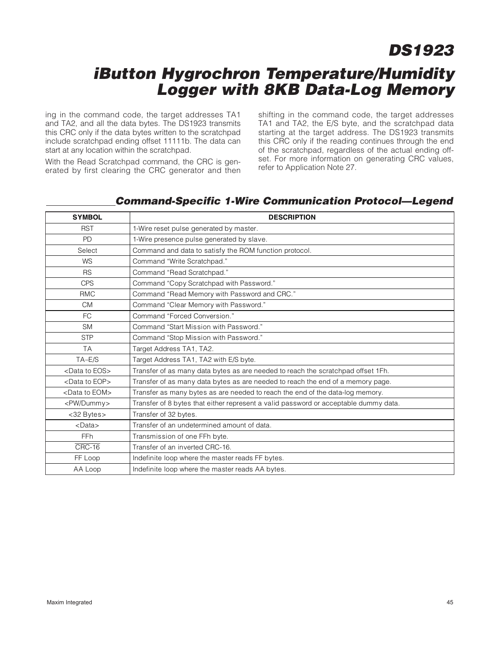### **iButton Hygrochron Temperature/Humidity Logger with 8KB Data-Log Memory**

ing in the command code, the target addresses TA1 and TA2, and all the data bytes. The DS1923 transmits this CRC only if the data bytes written to the scratchpad include scratchpad ending offset 11111b. The data can start at any location within the scratchpad.

With the Read Scratchpad command, the CRC is generated by first clearing the CRC generator and then shifting in the command code, the target addresses TA1 and TA2, the E/S byte, and the scratchpad data starting at the target address. The DS1923 transmits this CRC only if the reading continues through the end of the scratchpad, regardless of the actual ending offset. For more information on generating CRC values, refer to Application Note 27.

### **Command-Specific 1-Wire Communication Protocol—Legend**

| <b>SYMBOL</b>              | <b>DESCRIPTION</b>                                                                   |
|----------------------------|--------------------------------------------------------------------------------------|
| <b>RST</b>                 | 1-Wire reset pulse generated by master.                                              |
| <b>PD</b>                  | 1-Wire presence pulse generated by slave.                                            |
| Select                     | Command and data to satisfy the ROM function protocol.                               |
| <b>WS</b>                  | Command "Write Scratchpad."                                                          |
| <b>RS</b>                  | Command "Read Scratchpad."                                                           |
| <b>CPS</b>                 | Command "Copy Scratchpad with Password."                                             |
| <b>RMC</b>                 | Command "Read Memory with Password and CRC."                                         |
| <b>CM</b>                  | Command "Clear Memory with Password."                                                |
| FC.                        | Command "Forced Conversion."                                                         |
| <b>SM</b>                  | Command "Start Mission with Password."                                               |
| <b>STP</b>                 | Command "Stop Mission with Password."                                                |
| <b>TA</b>                  | Target Address TA1, TA2.                                                             |
| $TA-E/S$                   | Target Address TA1, TA2 with E/S byte.                                               |
| <data eos="" to=""></data> | Transfer of as many data bytes as are needed to reach the scratchpad offset 1Fh.     |
| <data eop="" to=""></data> | Transfer of as many data bytes as are needed to reach the end of a memory page.      |
| <data eom="" to=""></data> | Transfer as many bytes as are needed to reach the end of the data-log memory.        |
| <pw dummy=""></pw>         | Transfer of 8 bytes that either represent a valid password or acceptable dummy data. |
| <32 Bytes>                 | Transfer of 32 bytes.                                                                |
| $<$ Data $>$               | Transfer of an undetermined amount of data.                                          |
| <b>FFh</b>                 | Transmission of one FFh byte.                                                        |
| CRC-16                     | Transfer of an inverted CRC-16.                                                      |
| FF Loop                    | Indefinite loop where the master reads FF bytes.                                     |
| AA Loop                    | Indefinite loop where the master reads AA bytes.                                     |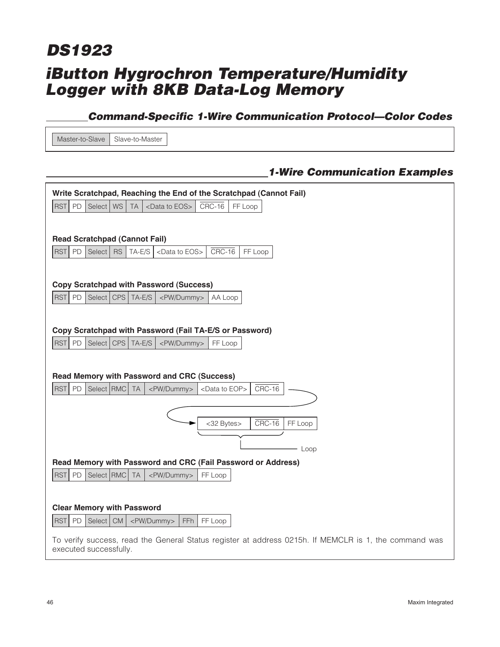## **iButton Hygrochron Temperature/Humidity Logger with 8KB Data-Log Memory DS1923**

### **Command-Specific 1-Wire Communication Protocol—Color Codes**

 $Master-to-Slave$  Slave-to-Master

### **1-Wire Communication Examples**

| Write Scratchpad, Reaching the End of the Scratchpad (Cannot Fail)                                                              |
|---------------------------------------------------------------------------------------------------------------------------------|
| $CRC-16$<br><b>RST</b><br>PD<br>Select<br>WS<br><b>TA</b><br><data eos="" to=""><br/>FF Loop</data>                             |
|                                                                                                                                 |
| <b>Read Scratchpad (Cannot Fail)</b>                                                                                            |
| <b>RST</b><br>PD<br>Select  <br><b>RS</b><br>TA-E/S<br>$CRC-16$<br>FF Loop<br><data eos="" to=""></data>                        |
|                                                                                                                                 |
| <b>Copy Scratchpad with Password (Success)</b>                                                                                  |
| <b>RST</b><br>PD<br>Select   CPS   TA-E/S<br><pw dummy=""><br/>AA Loop</pw>                                                     |
|                                                                                                                                 |
| Copy Scratchpad with Password (Fail TA-E/S or Password)                                                                         |
| <b>RST</b><br>Select CPS   TA-E/S<br>PD<br><pw dummy=""><br/>FF Loop</pw>                                                       |
|                                                                                                                                 |
|                                                                                                                                 |
| <b>Read Memory with Password and CRC (Success)</b>                                                                              |
| <b>RST</b><br>PD<br>Select RMC<br>$CRC-16$<br><b>TA</b><br><pw dummy=""><br/><data eop="" to=""></data></pw>                    |
|                                                                                                                                 |
| $CRC-16$<br><32 Bytes><br>FF Loop                                                                                               |
|                                                                                                                                 |
| Loop                                                                                                                            |
| Read Memory with Password and CRC (Fail Password or Address)                                                                    |
| <b>RST</b><br>PD<br>Select RMC<br><b>TA</b><br><pw dummy=""><br/>FF Loop</pw>                                                   |
|                                                                                                                                 |
| <b>Clear Memory with Password</b>                                                                                               |
| ${\sf PD}$<br>Select   CM<br><b>RST</b><br><pw dummy=""><br/>FFh<br/>FF Loop</pw>                                               |
| To verify success, read the General Status register at address 0215h. If MEMCLR is 1, the command was<br>executed successfully. |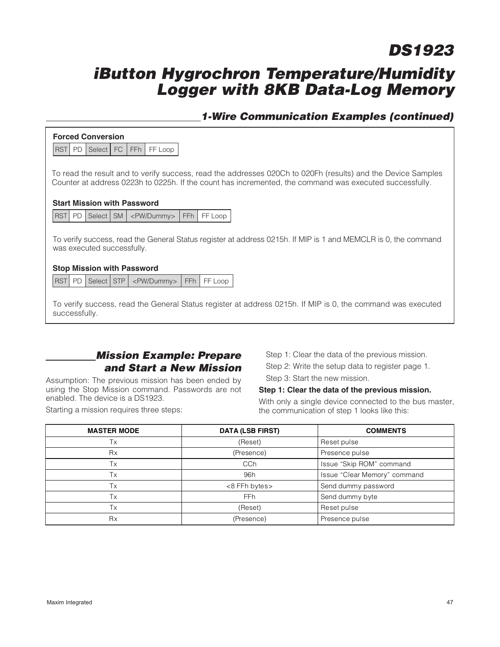### **iButton Hygrochron Temperature/Humidity Logger with 8KB Data-Log Memory**

### **1-Wire Communication Examples (continued)**

#### **Forced Conversion**

**RST** PD Select FC FFh FF Loop

To read the result and to verify success, read the addresses 020Ch to 020Fh (results) and the Device Samples Counter at address 0223h to 0225h. If the count has incremented, the command was executed successfully.

#### **Start Mission with Password**

RST PD Select SM | <PW/Dummy> | FFh | FF Loop

To verify success, read the General Status register at address 0215h. If MIP is 1 and MEMCLR is 0, the command was executed successfully.

#### **Stop Mission with Password**

**RST** PD Select STP <PW/Dummy> FFh FF Loop

To verify success, read the General Status register at address 0215h. If MIP is 0, the command was executed successfully.

### **Mission Example: Prepare and Start a New Mission**

Assumption: The previous mission has been ended by using the Stop Mission command. Passwords are not enabled. The device is a DS1923.

Starting a mission requires three steps:

Step 1: Clear the data of the previous mission. Step 2: Write the setup data to register page 1.

Step 3: Start the new mission.

#### **Step 1: Clear the data of the previous mission.**

With only a single device connected to the bus master, the communication of step 1 looks like this:

| <b>MASTER MODE</b> | <b>DATA (LSB FIRST)</b>              | <b>COMMENTS</b> |
|--------------------|--------------------------------------|-----------------|
| Tx                 | (Reset)                              | Reset pulse     |
| <b>Rx</b>          | (Presence)<br>Presence pulse         |                 |
| Tx                 | CCh<br>Issue "Skip ROM" command      |                 |
| Tx                 | Issue "Clear Memory" command<br>96h  |                 |
| Tx                 | Send dummy password<br><8 FFh bytes> |                 |
| Tx                 | Send dummy byte<br><b>FFh</b>        |                 |
| Tx                 | (Reset)<br>Reset pulse               |                 |
| <b>Rx</b>          | (Presence)<br>Presence pulse         |                 |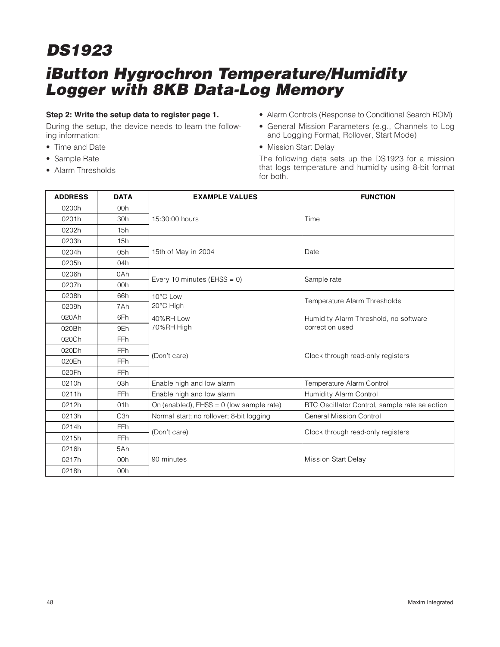## **iButton Hygrochron Temperature/Humidity Logger with 8KB Data-Log Memory**

#### **Step 2: Write the setup data to register page 1.**

During the setup, the device needs to learn the following information:

- Time and Date
- Sample Rate
- Alarm Thresholds
- Alarm Controls (Response to Conditional Search ROM)
- General Mission Parameters (e.g., Channels to Log and Logging Format, Rollover, Start Mode)
- Mission Start Delay

The following data sets up the DS1923 for a mission that logs temperature and humidity using 8-bit format for both.

| <b>ADDRESS</b> | <b>DATA</b>      | <b>EXAMPLE VALUES</b>                      | <b>FUNCTION</b>                               |  |
|----------------|------------------|--------------------------------------------|-----------------------------------------------|--|
| 0200h          | 00h              |                                            |                                               |  |
| 0201h          | 30h              | 15:30:00 hours                             | Time                                          |  |
| 0202h          | 15h              |                                            |                                               |  |
| 0203h          | 15h              |                                            |                                               |  |
| 0204h          | 05h              | 15th of May in 2004                        | Date                                          |  |
| 0205h          | 04h              |                                            |                                               |  |
| 0206h          | 0Ah              | Every 10 minutes (EHSS = $0$ )             | Sample rate                                   |  |
| 0207h          | 00h              |                                            |                                               |  |
| 0208h          | 66h              | 10°C Low                                   |                                               |  |
| 0209h          | 7Ah              | 20°C High                                  | Temperature Alarm Thresholds                  |  |
| 020Ah          | 6Fh              | 40%RH Low                                  | Humidity Alarm Threshold, no software         |  |
| 020Bh          | 9Eh              | 70%RH High                                 | correction used                               |  |
| 020Ch          | <b>FFh</b>       |                                            |                                               |  |
| 020Dh          | <b>FFh</b>       | (Don't care)                               | Clock through read-only registers             |  |
| 020Eh          | <b>FFh</b>       |                                            |                                               |  |
| 020Fh          | <b>FFh</b>       |                                            |                                               |  |
| 0210h          | 03h              | Enable high and low alarm                  | Temperature Alarm Control                     |  |
| 0211h          | <b>FFh</b>       | Enable high and low alarm                  | Humidity Alarm Control                        |  |
| 0212h          | 01h              | On (enabled), $EHSS = 0$ (low sample rate) | RTC Oscillator Control, sample rate selection |  |
| 0213h          | C <sub>3</sub> h | Normal start; no rollover; 8-bit logging   | <b>General Mission Control</b>                |  |
| 0214h          | <b>FFh</b>       | (Don't care)                               |                                               |  |
| 0215h          | <b>FFh</b>       |                                            | Clock through read-only registers             |  |
| 0216h          | 5Ah              |                                            |                                               |  |
| 0217h          | 00h              | 90 minutes                                 | <b>Mission Start Delay</b>                    |  |
| 0218h          | 00h              |                                            |                                               |  |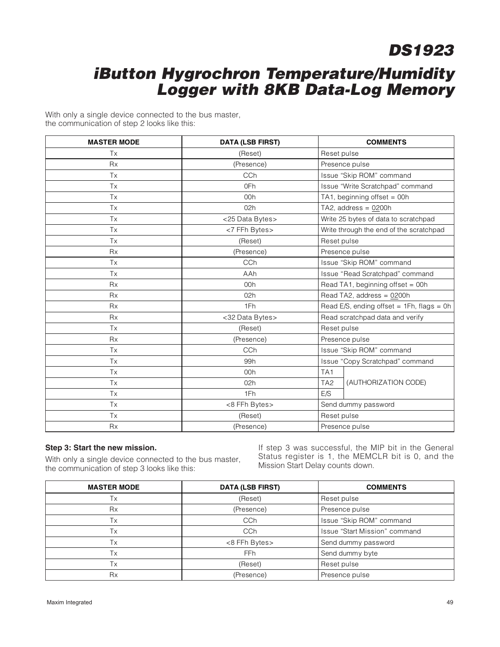### **iButton Hygrochron Temperature/Humidity Logger with 8KB Data-Log Memory**

With only a single device connected to the bus master, the communication of step 2 looks like this:

| <b>MASTER MODE</b> | <b>DATA (LSB FIRST)</b>         | <b>COMMENTS</b>                              |  |
|--------------------|---------------------------------|----------------------------------------------|--|
| Tx                 | (Reset)                         | Reset pulse                                  |  |
| <b>Rx</b>          | (Presence)                      | Presence pulse                               |  |
| Tx                 | CCh<br>Issue "Skip ROM" command |                                              |  |
| Tx                 | 0Fh                             | Issue "Write Scratchpad" command             |  |
| Tx                 | 00h                             | TA1, beginning offset = 00h                  |  |
| Tx                 | 02h                             | TA2, address = $0200h$                       |  |
| Tx                 | <25 Data Bytes>                 | Write 25 bytes of data to scratchpad         |  |
| Tx                 | <7 FFh Bytes>                   | Write through the end of the scratchpad      |  |
| Tx                 | (Reset)                         | Reset pulse                                  |  |
| <b>Rx</b>          | (Presence)                      | Presence pulse                               |  |
| Tx                 | CCh                             | Issue "Skip ROM" command                     |  |
| Tx                 | AAh                             | Issue "Read Scratchpad" command              |  |
| <b>Rx</b>          | 00h                             | Read TA1, beginning offset = 00h             |  |
| <b>Rx</b>          | 02h                             | Read TA2, address = 0200h                    |  |
| <b>Rx</b>          | 1Fh                             | Read E/S, ending offset = $1Fh$ , flags = 0h |  |
| <b>Rx</b>          | <32 Data Bytes>                 | Read scratchpad data and verify              |  |
| Tx                 | (Reset)                         | Reset pulse                                  |  |
| <b>Rx</b>          | (Presence)                      | Presence pulse                               |  |
| Tx                 | CCh                             | Issue "Skip ROM" command                     |  |
| Tx                 | 99h                             | Issue "Copy Scratchpad" command              |  |
| <b>Tx</b>          | 00h                             | TA <sub>1</sub>                              |  |
| Tx                 | 02h                             | (AUTHORIZATION CODE)<br>TA <sub>2</sub>      |  |
| Tx                 | 1Fh                             | E/S                                          |  |
| Tx                 | <8 FFh Bytes>                   | Send dummy password                          |  |
| Tx                 | (Reset)                         | Reset pulse                                  |  |
| <b>Rx</b>          | (Presence)                      | Presence pulse                               |  |

#### **Step 3: Start the new mission.**

With only a single device connected to the bus master, the communication of step 3 looks like this:

If step 3 was successful, the MIP bit in the General Status register is 1, the MEMCLR bit is 0, and the Mission Start Delay counts down.

| <b>MASTER MODE</b> | <b>DATA (LSB FIRST)</b>              | <b>COMMENTS</b> |  |
|--------------------|--------------------------------------|-----------------|--|
| Тx                 | (Reset)<br>Reset pulse               |                 |  |
| Rx                 | (Presence)<br>Presence pulse         |                 |  |
| Тx                 | Issue "Skip ROM" command<br>CCh      |                 |  |
| Tx                 | Issue "Start Mission" command<br>CCh |                 |  |
| Тx                 | Send dummy password<br><8 FFh Bytes> |                 |  |
| Tx                 | Send dummy byte<br>FF <sub>h</sub>   |                 |  |
| Тx                 | (Reset)<br>Reset pulse               |                 |  |
| <b>Rx</b>          | (Presence)                           | Presence pulse  |  |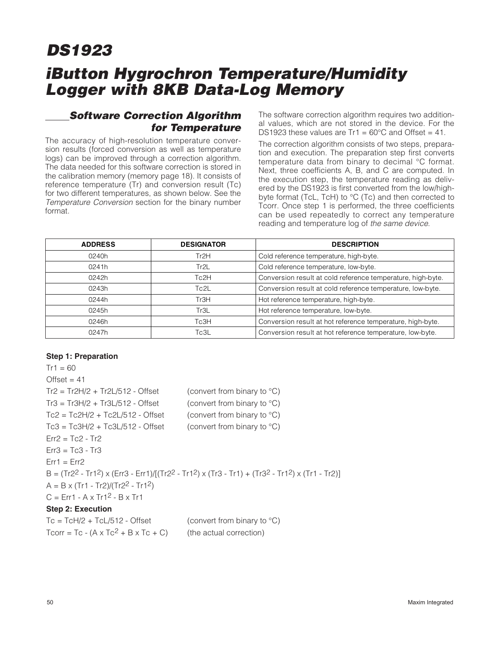## **iButton Hygrochron Temperature/Humidity Logger with 8KB Data-Log Memory**

### **Software Correction Algorithm for Temperature**

The accuracy of high-resolution temperature conversion results (forced conversion as well as temperature logs) can be improved through a correction algorithm. The data needed for this software correction is stored in the calibration memory (memory page 18). It consists of reference temperature (Tr) and conversion result (Tc) for two different temperatures, as shown below. See the Temperature Conversion section for the binary number format.

The software correction algorithm requires two additional values, which are not stored in the device. For the DS1923 these values are  $Tr1 = 60^{\circ}$ C and Offset = 41.

The correction algorithm consists of two steps, preparation and execution. The preparation step first converts temperature data from binary to decimal °C format. Next, three coefficients A, B, and C are computed. In the execution step, the temperature reading as delivered by the DS1923 is first converted from the low/highbyte format (TcL, TcH) to °C (Tc) and then corrected to Tcorr. Once step 1 is performed, the three coefficients can be used repeatedly to correct any temperature reading and temperature log of the same device.

| <b>ADDRESS</b> | <b>DESIGNATOR</b> | <b>DESCRIPTION</b>                                          |
|----------------|-------------------|-------------------------------------------------------------|
| 0240h          | Tr <sub>2H</sub>  | Cold reference temperature, high-byte.                      |
| 0241h          | Tr2L              | Cold reference temperature, low-byte.                       |
| 0242h          | Tc2H              | Conversion result at cold reference temperature, high-byte. |
| 0243h          | Tc2L              | Conversion result at cold reference temperature, low-byte.  |
| 0244h          | Tr <sub>3H</sub>  | Hot reference temperature, high-byte.                       |
| 0245h          | Tr3L              | Hot reference temperature, low-byte.                        |
| 0246h          | Tc3H              | Conversion result at hot reference temperature, high-byte.  |
| 0247h          | Tc3L              | Conversion result at hot reference temperature, low-byte.   |

#### **Step 1: Preparation**

```
Tr1 = 60Offset = 41Tr2 = Tr2H/2 + Tr2L/512 - Offset (convert from binary to °C)
Tr3 = Tr3H/2 + Tr3L/512 - Offset (convert from binary to \textdegree C)
Tc2 = Tc2H/2 + Tc2L/512 - Offset (convert from binary to °C)
Tc3 = Tc3H/2 + Tc3L/512 - Offset (convert from binary to °C)
Fr2 = Tc2 - Tr2Err3 = Tc3 - Tr3Err1 = Err2B = (Tr2^2 - Tr1^2) x (Err3 - Err1)/[(Tr2^2 - Tr1^2) x (Tr3 - Tr1) + (Tr3^2 - Tr1^2) x (Tr1 - Tr2)A = B \times (Tr1 - Tr2)/(Tr2^2 - Tr1^2)C = Err1 - A \times Tr1^2 - B \times Tr1Step 2: Execution
Tc = TcH/2 + TcL/512 - Offset (convert from binary to °C)
Tcorr = Tc - (A \times Tc^2 + B \times Tc + C) (the actual correction)
```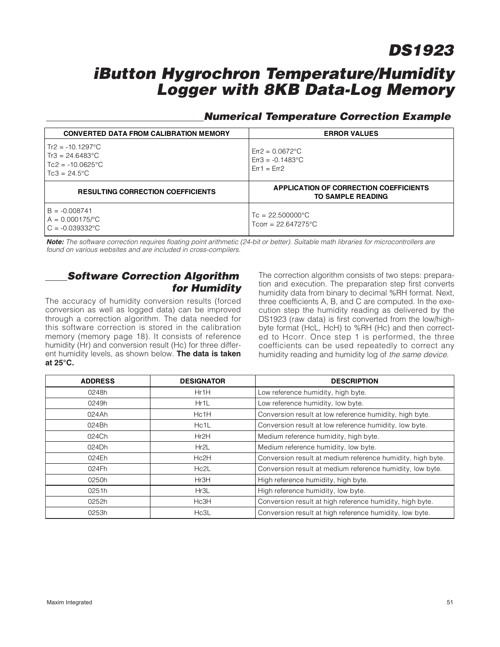### **iButton Hygrochron Temperature/Humidity Logger with 8KB Data-Log Memory**

### **Numerical Temperature Correction Example**

| <b>CONVERTED DATA FROM CALIBRATION MEMORY</b>                                                                  | <b>ERROR VALUES</b>                                                                               |
|----------------------------------------------------------------------------------------------------------------|---------------------------------------------------------------------------------------------------|
| $Tr2 = -10.1297^{\circ}$ C<br>$Tr3 = 24.6483^{\circ}$ C<br>$Tc2 = -10.0625^{\circ}$ C<br>$Tc3 = 24.5^{\circ}C$ | $\text{Er}2 = 0.0672^{\circ}\text{C}$<br>$\text{Err3} = -0.1483^{\circ}\text{C}$<br>$Err1 = Err2$ |
| <b>RESULTING CORRECTION COEFFICIENTS</b>                                                                       | APPLICATION OF CORRECTION COEFFICIENTS<br><b>TO SAMPLE READING</b>                                |
| $B = -0.008741$<br>$A = 0.000175$ /°C<br>$C = -0.039332$ °C                                                    | $T_c = 22.500000^{\circ}C$<br>Toorr = $22.647275^{\circ}$ C                                       |

**Note:** The software correction requires floating point arithmetic (24-bit or better). Suitable math libraries for microcontrollers are found on various websites and are included in cross-compilers.

### **Software Correction Algorithm for Humidity**

The accuracy of humidity conversion results (forced conversion as well as logged data) can be improved through a correction algorithm. The data needed for this software correction is stored in the calibration memory (memory page 18). It consists of reference humidity (Hr) and conversion result (Hc) for three different humidity levels, as shown below. **The data is taken at 25°C.**

The correction algorithm consists of two steps: preparation and execution. The preparation step first converts humidity data from binary to decimal %RH format. Next, three coefficients A, B, and C are computed. In the execution step the humidity reading as delivered by the DS1923 (raw data) is first converted from the low/highbyte format (HcL, HcH) to %RH (Hc) and then corrected to Hcorr. Once step 1 is performed, the three coefficients can be used repeatedly to correct any humidity reading and humidity log of the same device.

| <b>ADDRESS</b> | <b>DESIGNATOR</b> | <b>DESCRIPTION</b>                                         |
|----------------|-------------------|------------------------------------------------------------|
| 0248h          | Hr1H              | Low reference humidity, high byte.                         |
| 0249h          | Hr1L              | Low reference humidity, low byte.                          |
| 024Ah          | Hc1H              | Conversion result at low reference humidity, high byte.    |
| 024Bh          | Hc <sub>1</sub> L | Conversion result at low reference humidity, low byte.     |
| 024Ch          | Hr2H              | Medium reference humidity, high byte.                      |
| 024Dh          | Hr2L              | Medium reference humidity, low byte.                       |
| 024Eh          | Hc2H              | Conversion result at medium reference humidity, high byte. |
| 024Fh          | Hc2L              | Conversion result at medium reference humidity, low byte.  |
| 0250h          | Hr3H              | High reference humidity, high byte.                        |
| 0251h          | Hr3L              | High reference humidity, low byte.                         |
| 0252h          | Hc3H              | Conversion result at high reference humidity, high byte.   |
| 0253h          | Hc3L              | Conversion result at high reference humidity, low byte.    |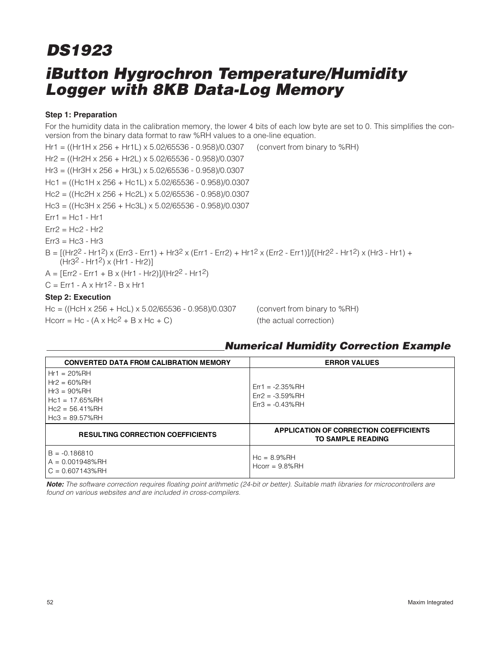## **iButton Hygrochron Temperature/Humidity Logger with 8KB Data-Log Memory DS1923**

#### **Step 1: Preparation**

For the humidity data in the calibration memory, the lower 4 bits of each low byte are set to 0. This simplifies the conversion from the binary data format to raw %RH values to a one-line equation.

Hr1 = ((Hr1H x 256 + Hr1L) x 5.02/65536 - 0.958)/0.0307 (convert from binary to %RH) Hr2 = ((Hr2H x 256 + Hr2L) x 5.02/65536 - 0.958)/0.0307 Hr3 = ((Hr3H x 256 + Hr3L) x 5.02/65536 - 0.958)/0.0307 Hc1 = ((Hc1H x 256 + Hc1L) x 5.02/65536 - 0.958)/0.0307 Hc2 = ((Hc2H x 256 + Hc2L) x 5.02/65536 - 0.958)/0.0307 Hc3 = ((Hc3H x 256 + Hc3L) x 5.02/65536 - 0.958)/0.0307  $Err1 = Hc1 - Hr1$  $Err2 = Hc2 - Hr2$  $Err3 = Hc3 - Hr3$  $B = [(Hr2<sup>2</sup> - Hr1<sup>2</sup>) \times (Err3 - Err1) + Hr3<sup>2</sup> \times (Err1 - Err2) + Hr1<sup>2</sup> \times (Err2 - Err1)]/[(Hr2<sup>2</sup> - Hr1<sup>2</sup>) \times (Hr3 - Hr1) +$  $(Hr32 - Hr12) \times (Hr1 - Hr2)$  $A = [Err2 - Err1 + B \times (Hr1 - Hr2)]/(Hr2<sup>2</sup> - Hr1<sup>2</sup>)$  $C = Err1 - A \times Hr1^2 - B \times Hr1$ **Step 2: Execution** Hc = ((HcH x 256 + HcL) x 5.02/65536 - 0.958)/0.0307 (convert from binary to %RH)

Hcorr = Hc  $-$  (A x Hc<sup>2</sup> + B x Hc  $+$  C) (the actual correction)

### **Numerical Humidity Correction Example**

| <b>CONVERTED DATA FROM CALIBRATION MEMORY</b>                                                               | <b>ERROR VALUES</b>                                                |
|-------------------------------------------------------------------------------------------------------------|--------------------------------------------------------------------|
| $Hr1 = 20%RH$<br>$Hr2 = 60%RH$<br>$Hr3 = 90%RH$<br>$Hc1 = 17.65%RH$<br>$Hc2 = 56.41%RH$<br>$Hc3 = 89.57%RH$ | $Err1 = -2.35\%RH$<br>$Err2 = -3.59\%RH$<br>$Err3 = -0.43\%RH$     |
| <b>RESULTING CORRECTION COEFFICIENTS</b>                                                                    | APPLICATION OF CORRECTION COEFFICIENTS<br><b>TO SAMPLE READING</b> |
| $B = -0.186810$<br>$A = 0.001948%$ RH<br>$C = 0.607143%$ RH                                                 | $Hc = 8.9%RH$<br>$Hcorr = 9.8%RH$                                  |

**Note:** The software correction requires floating point arithmetic (24-bit or better). Suitable math libraries for microcontrollers are found on various websites and are included in cross-compilers.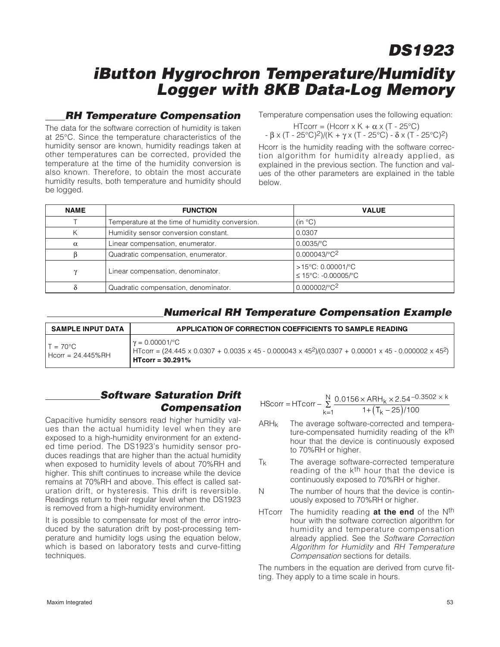### **iButton Hygrochron Temperature/Humidity Logger with 8KB Data-Log Memory**

### **RH Temperature Compensation**

The data for the software correction of humidity is taken at 25°C. Since the temperature characteristics of the humidity sensor are known, humidity readings taken at other temperatures can be corrected, provided the temperature at the time of the humidity conversion is also known. Therefore, to obtain the most accurate humidity results, both temperature and humidity should be logged.

Temperature compensation uses the following equation:

HTcorr = (Hcorr  $x K + \alpha x (T - 25^{\circ}C)$ )  $- \beta \times (T - 25^{\circ}C)^{2}$ )/(K + γ x (T - 25°C) - δ x (T - 25°C)<sup>2</sup>)

Hcorr is the humidity reading with the software correction algorithm for humidity already applied, as explained in the previous section. The function and values of the other parameters are explained in the table below.

| <b>NAME</b> | <b>FUNCTION</b>                                 | <b>VALUE</b>                             |
|-------------|-------------------------------------------------|------------------------------------------|
|             | Temperature at the time of humidity conversion. | (in °C)                                  |
|             | Humidity sensor conversion constant.            | 0.0307                                   |
| $\alpha$    | Linear compensation, enumerator.                | $0.0035$ /°C                             |
|             | Quadratic compensation, enumerator.             | 0.000043/°C <sup>2</sup>                 |
| $\gamma$    | Linear compensation, denominator.               | >15°C: 0.00001/°C<br>≤ 15°C: -0.00005/°C |
|             | Quadratic compensation, denominator.            | 0.000002/°C2                             |

### **Numerical RH Temperature Compensation Example**

| <b>SAMPLE INPUT DATA</b>                | APPLICATION OF CORRECTION COEFFICIENTS TO SAMPLE READING                                                                                                                                                       |
|-----------------------------------------|----------------------------------------------------------------------------------------------------------------------------------------------------------------------------------------------------------------|
| $T = 70^{\circ}$ C<br>Hcorr = 24.445%RH | $\gamma = 0.00001$ /°C<br>$H_{\text{TOT}} = (24.445 \times 0.0307 + 0.0035 \times 45 - 0.000043 \times 45^2)/(0.0307 + 0.00001 \times 45 - 0.000002 \times 45^2)$<br>$\overline{\phantom{0}}$ HTcorr = 30.291% |

### **Software Saturation Drift Compensation**

Capacitive humidity sensors read higher humidity values than the actual humidity level when they are exposed to a high-humidity environment for an extended time period. The DS1923's humidity sensor produces readings that are higher than the actual humidity when exposed to humidity levels of about 70%RH and higher. This shift continues to increase while the device remains at 70%RH and above. This effect is called saturation drift, or hysteresis. This drift is reversible. Readings return to their regular level when the DS1923 is removed from a high-humidity environment.

It is possible to compensate for most of the error introduced by the saturation drift by post-processing temperature and humidity logs using the equation below, which is based on laboratory tests and curve-fitting techniques.

$$
HScorr = HTcorr - \sum_{k=1}^{N} \frac{0.0156 \times ARH_k \times 2.54^{-0.3502 \times k}}{1 + (T_k - 25)/100}
$$

- $ARH<sub>k</sub>$  The average software-corrected and temperature-compensated humidity reading of the k<sup>th</sup> hour that the device is continuously exposed to 70%RH or higher.
- Tk The average software-corrected temperature reading of the k<sup>th</sup> hour that the device is continuously exposed to 70%RH or higher.
- N The number of hours that the device is continuously exposed to 70%RH or higher.
- HTcorr The humidity reading **at the end** of the Nth hour with the software correction algorithm for humidity and temperature compensation already applied. See the Software Correction Algorithm for Humidity and RH Temperature Compensation sections for details.

The numbers in the equation are derived from curve fitting. They apply to a time scale in hours.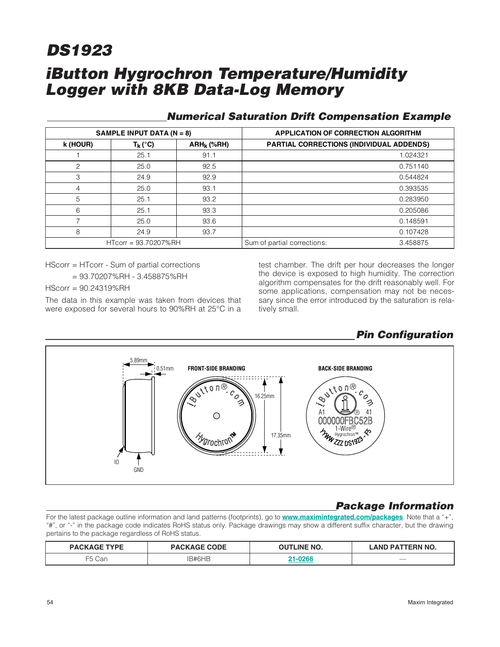## **iButton Hygrochron Temperature/Humidity Logger with 8KB Data-Log Memory DS1923**

|          | SAMPLE INPUT DATA ( $N = 8$ ) |               | <b>APPLICATION OF CORRECTION ALGORITHM</b>      |          |
|----------|-------------------------------|---------------|-------------------------------------------------|----------|
| k (HOUR) | $T_k (^\circ C)$              | $ARH_k$ (%RH) | <b>PARTIAL CORRECTIONS (INDIVIDUAL ADDENDS)</b> |          |
|          | 25.1                          | 91.1          |                                                 | 1.024321 |
| 2        | 25.0                          | 92.5          |                                                 | 0.751140 |
| 3        | 24.9                          | 92.9          |                                                 | 0.544824 |
| 4        | 25.0                          | 93.1          |                                                 | 0.393535 |
| 5        | 25.1                          | 93.2          |                                                 | 0.283950 |
| 6        | 25.1                          | 93.3          |                                                 | 0.205086 |
|          | 25.0                          | 93.6          |                                                 | 0.148591 |
| 8        | 24.9                          | 93.7          |                                                 | 0.107428 |
|          | HTcorr = 93.70207%RH          |               | Sum of partial corrections:                     | 3.458875 |

### **Numerical Saturation Drift Compensation Example**

HScorr = HTcorr - Sum of partial corrections

= 93.70207%RH - 3.458875%RH

HScorr = 90.24319%RH

The data in this example was taken from devices that were exposed for several hours to 90%RH at 25°C in a test chamber. The drift per hour decreases the longer the device is exposed to high humidity. The correction algorithm compensates for the drift reasonably well. For some applications, compensation may not be necessary since the error introduced by the saturation is relatively small.



### **Package Information**

For the latest package outline information and land patterns (footprints), go to **www.maximintegrated.com/packages**. Note that a "+", "#", or "-" in the package code indicates RoHS status only. Package drawings may show a different suffix character, but the drawing pertains to the package regardless of RoHS status.

| <b>DACKA</b><br><b>IGE TVDE</b> | <b>PACKAGE CODE</b> | <b>OUTLINE NO.</b> | TERN NO.<br><b>LAND PAT</b> |
|---------------------------------|---------------------|--------------------|-----------------------------|
| F E C<br>Car                    | <b>RAHAT</b>        | nner               | $\overline{\phantom{a}}$    |